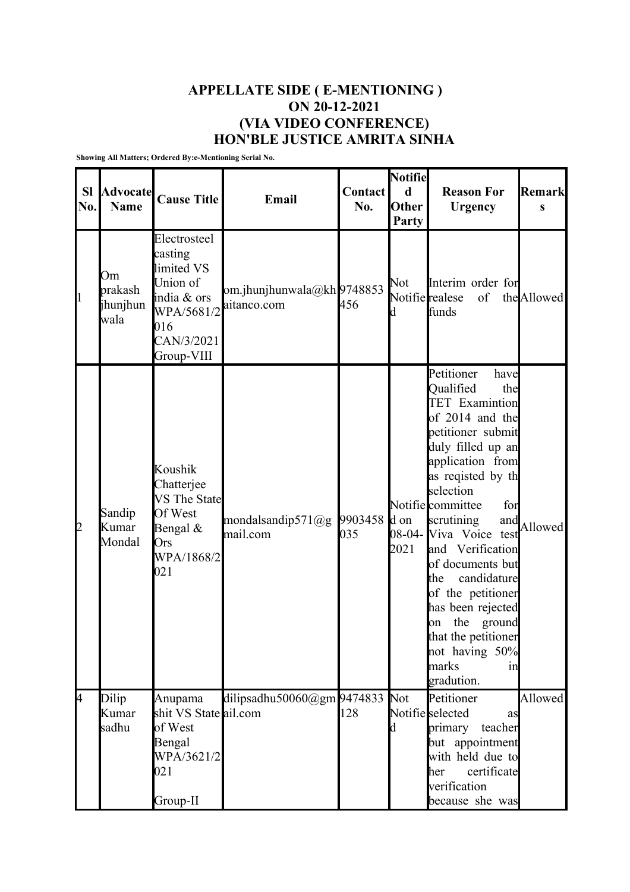## **APPELLATE SIDE ( E-MENTIONING ) ON 20-12-2021 (VIA VIDEO CONFERENCE) HON'BLE JUSTICE AMRITA SINHA**

**Showing All Matters; Ordered By:e-Mentioning Serial No.**

| <b>SI</b><br>No. | <b>Advocate</b><br><b>Name</b>    | <b>Cause Title</b>                                                                                                | Email                                    | <b>Contact</b><br>No. | Notifie<br>d<br>Other<br>Party | <b>Reason For</b><br><b>Urgency</b>                                                                                                                                                                                                                                                                                                                                                                                                                                | <b>Remark</b><br>S |
|------------------|-----------------------------------|-------------------------------------------------------------------------------------------------------------------|------------------------------------------|-----------------------|--------------------------------|--------------------------------------------------------------------------------------------------------------------------------------------------------------------------------------------------------------------------------------------------------------------------------------------------------------------------------------------------------------------------------------------------------------------------------------------------------------------|--------------------|
| $\vert$ 1        | Om<br>prakash<br>jhunjhun<br>wala | Electrosteel<br>casting<br>limited VS<br>Union of<br>india & ors<br>WPA/5681/2<br>016<br>CAN/3/2021<br>Group-VIII | om.jhunjhunwala@kh9748853<br>aitanco.com | 456                   | Not<br>d                       | Interim order for<br>Notifie realese<br>of<br>funds                                                                                                                                                                                                                                                                                                                                                                                                                | the Allowed        |
| 2                | Sandip<br>Kumar<br>Mondal         | Koushik<br>Chatterjee<br><b>VS</b> The State<br>Of West<br>Bengal $&$<br>Ors<br>WPA/1868/2<br>021                 | mondalsandip571@g<br>mail.com            | 9903458<br>035        | d on<br>2021                   | Petitioner<br>have<br>Qualified<br>the<br><b>TET</b> Examintion<br>of 2014 and the<br>petitioner submit<br>duly filled up an<br>application from<br>as reqisted by th<br>selection<br>Notifie committee<br>for<br>scrutining<br>and<br>08-04- Viva Voice test<br>and Verification<br>of documents but<br>candidature<br>the<br>of the petitioner<br>has been rejected<br>the<br>ground<br>on<br>that the petitioner<br>not having 50%<br>marks<br>1n<br>gradution. | Allowed            |
| 4                | Dilip<br>Kumar                    | Anupama<br>shit VS State ail.com                                                                                  | dilipsadhu50060@gm $9474833$             | 128                   | Not                            | Petitioner<br>Notifiesselected<br>as                                                                                                                                                                                                                                                                                                                                                                                                                               | Allowed            |
|                  | sadhu                             | of West<br>Bengal<br>WPA/3621/2<br>021<br>Group-II                                                                |                                          |                       | d                              | primary<br>teacher<br>but appointment<br>with held due to<br>certificate<br>her<br>verification<br>because she was                                                                                                                                                                                                                                                                                                                                                 |                    |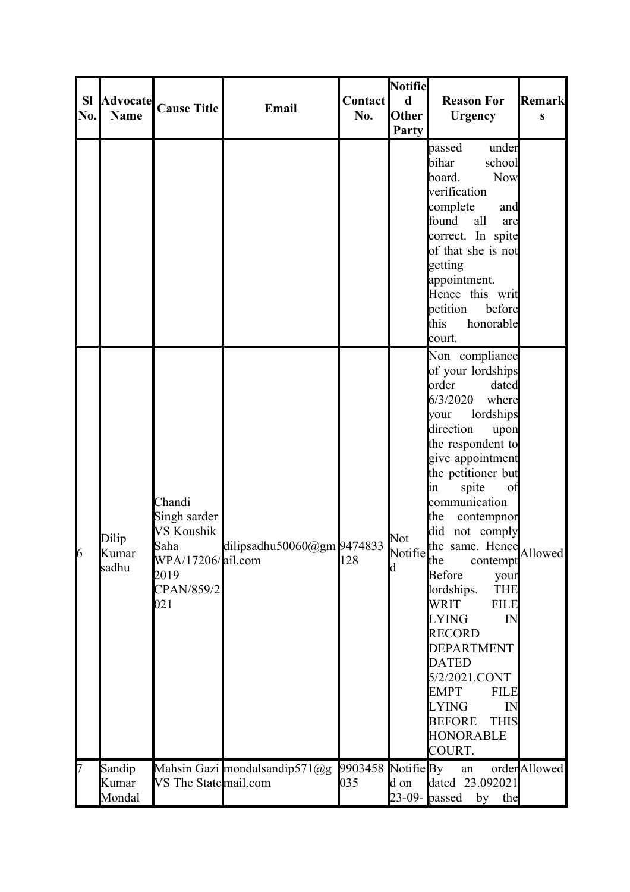| <b>SI</b><br>No. | <b>Advocate</b><br><b>Name</b> | <b>Cause Title</b>                                                                             | Email                         | <b>Contact</b><br>No. | <b>Notifie</b><br>$\mathbf d$<br>Other<br>Party | <b>Reason For</b><br><b>Urgency</b>                                                                                                                                                                                                                                                                                                                                                                                                                                                                                                                                                                                        | <b>Remark</b><br>S |
|------------------|--------------------------------|------------------------------------------------------------------------------------------------|-------------------------------|-----------------------|-------------------------------------------------|----------------------------------------------------------------------------------------------------------------------------------------------------------------------------------------------------------------------------------------------------------------------------------------------------------------------------------------------------------------------------------------------------------------------------------------------------------------------------------------------------------------------------------------------------------------------------------------------------------------------------|--------------------|
|                  |                                |                                                                                                |                               |                       |                                                 | passed<br>under<br>bihar<br>school<br>board.<br><b>Now</b><br>verification<br>complete<br>and<br>found<br>all<br>are<br>correct. In spite<br>of that she is not<br>getting<br>appointment.<br>Hence this writ<br>petition<br>before<br>this<br>honorable<br>court.                                                                                                                                                                                                                                                                                                                                                         |                    |
| 6                | Dilip<br>Kumar<br>sadhu        | Chandi<br>Singh sarder<br>VS Koushik<br>Saha<br>WPA/17206/ail.com<br>2019<br>CPAN/859/2<br>021 | dilipsadhu50060@gm 9474833    | 128                   | Not<br>Notifie $\lim_{\text{the}}$<br>d         | Non compliance<br>of your lordships<br>lorder<br>dated<br>6/3/2020<br>where<br>lordships<br><b>your</b><br>direction<br>upon<br>the respondent to<br>give appointment<br>the petitioner but<br>spite<br>of<br>$\mathop{\text{lin}}$<br>communication<br>the<br>contempnor<br>did not comply<br>the same. Hence<br>the contempt Allowed<br>Before<br>your<br>lordships.<br><b>THE</b><br>WRIT<br><b>FILE</b><br><b>LYING</b><br>IN<br><b>RECORD</b><br><b>DEPARTMENT</b><br><b>DATED</b><br>5/2/2021.CONT<br><b>EMPT</b><br><b>FILE</b><br><b>LYING</b><br>IN<br><b>BEFORE</b><br><b>THIS</b><br><b>HONORABLE</b><br>COURT. |                    |
| 7                | Sandip<br>Kumar<br>Mondal      | VS The State mail.com                                                                          | Mahsin Gazi mondalsandip571@g | 035                   | d on                                            | $9903458$ Notifie By an<br>dated 23.092021<br>23-09- $_{\text{passed}}$<br>by the                                                                                                                                                                                                                                                                                                                                                                                                                                                                                                                                          | orderAllowed       |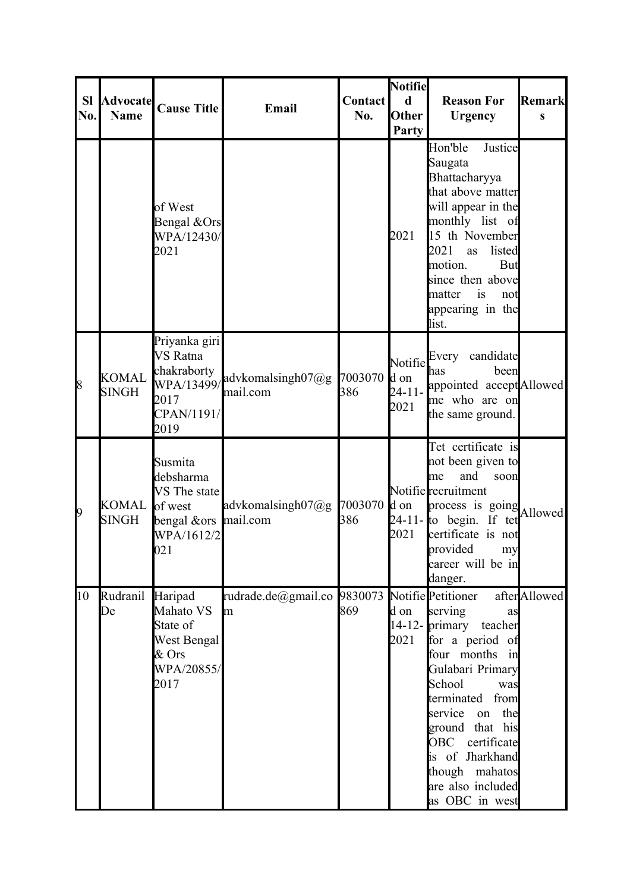| <b>SI</b><br>No. | <b>Advocate</b><br><b>Name</b> | <b>Cause Title</b>                                                                           | Email                                   | Contact<br>No. | <b>Notifie</b><br>$\mathbf d$<br><b>Other</b><br>Party | <b>Reason For</b><br><b>Urgency</b>                                                                                                                                                                                                                                                                  | <b>Remark</b><br>S |
|------------------|--------------------------------|----------------------------------------------------------------------------------------------|-----------------------------------------|----------------|--------------------------------------------------------|------------------------------------------------------------------------------------------------------------------------------------------------------------------------------------------------------------------------------------------------------------------------------------------------------|--------------------|
|                  |                                | of West<br>Bengal &Ors<br>WPA/12430/<br>2021                                                 |                                         |                | 2021                                                   | Justice<br>Hon'ble<br>Saugata<br>Bhattacharyya<br>that above matter<br>will appear in the<br>monthly list of<br>15 th November<br>2021<br>listed<br>as<br>motion.<br>But<br>since then above<br>is<br>matter<br>not<br>appearing in the<br>list.                                                     |                    |
| 8                | <b>KOMAL</b><br><b>SINGH</b>   | Priyanka giri<br>VS Ratna<br>chakraborty<br>2017<br>CPAN/1191/<br>2019                       | WPA/13499/advkomalsingh07@g<br>mail.com | 7003070<br>386 | Notifie<br>d on<br>$24 - 11 -$<br>2021                 | Every candidate<br>been<br>has<br>appointed accept Allowed<br>me who are on<br>the same ground.                                                                                                                                                                                                      |                    |
| 9                | KOMAL<br><b>SINGH</b>          | Susmita<br>debsharma<br>VS The state<br>of west<br>bengal &ors mail.com<br>WPA/1612/2<br>021 | advkomalsingh $07@g$                    | 7003070<br>386 | d on<br>2021                                           | Tet certificate is<br>not been given to<br>and<br>soon<br>lme<br>Notifie recruitment<br>process is going Allowed<br>$24-11$ - to begin. If tet<br>certificate is not<br>provided<br>my<br>career will be in<br>danger.                                                                               |                    |
| 10               | Rudranil<br>De                 | Haripad<br>Mahato VS<br>State of<br>West Bengal<br>$&$ Ors<br>WPA/20855/<br>2017             | rudrade.de@gmail.co 9830073<br>m        | 869            | d on<br>2021                                           | Notifie Petitioner<br>serving<br>as<br>14-12- primary teacher<br>for a period of<br>four months in<br>Gulabari Primary<br>School<br>was<br>terminated from<br>the<br>service<br>on<br>ground that his<br>OBC certificate<br>is of Jharkhand<br>though mahatos<br>are also included<br>as OBC in west | afterAllowed       |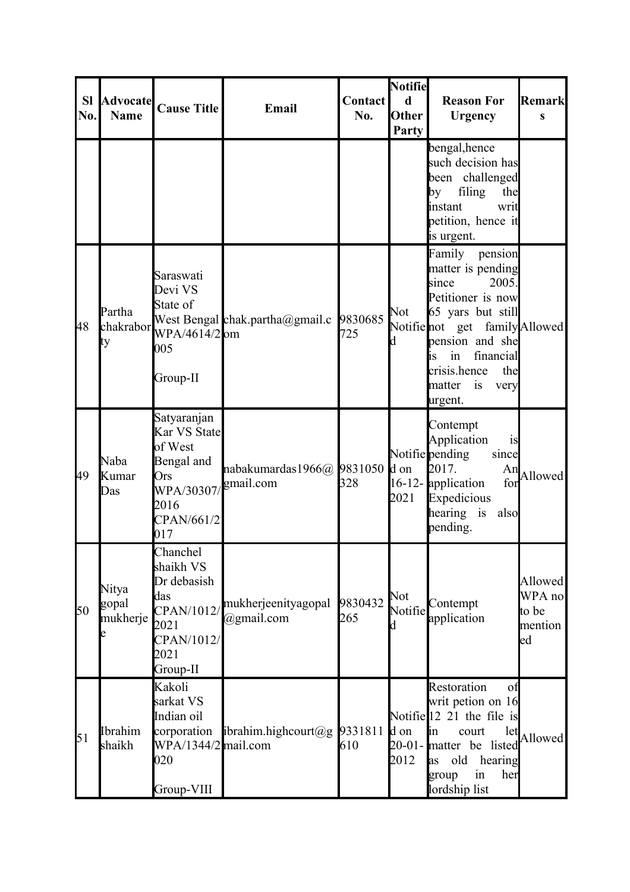| <b>SI</b><br>No. | <b>Advocate</b><br><b>Name</b> | <b>Cause Title</b>                                                                                     | Email                                  | Contact<br>No. | Notifie<br>$\mathbf d$<br><b>Other</b><br>Party | <b>Reason For</b><br><b>Urgency</b>                                                                                                                                                                                                       | Remark<br>S                                 |
|------------------|--------------------------------|--------------------------------------------------------------------------------------------------------|----------------------------------------|----------------|-------------------------------------------------|-------------------------------------------------------------------------------------------------------------------------------------------------------------------------------------------------------------------------------------------|---------------------------------------------|
|                  |                                |                                                                                                        |                                        |                |                                                 | bengal, hence<br>such decision has<br>been challenged<br>filing<br>the<br>by<br>instant<br>writ<br>petition, hence it<br>is urgent.                                                                                                       |                                             |
| 48               | Partha<br>chakrabor<br>ty      | Saraswati<br>Devi VS<br>State of<br>WPA/4614/2 om<br>005<br>Group-II                                   | West Bengal chak.partha@gmail.c        | 9830685<br>725 | Not<br>d                                        | Family<br>pension<br>matter is pending<br>since<br>2005.<br>Petitioner is now<br>65 yars but still<br>Notifienot get family Allowed<br>pension and she<br>financial<br>in<br>1S<br>crisis.hence<br>the<br>matter<br>is<br>very<br>urgent. |                                             |
| 49               | Naba<br>Kumar<br>Das           | Satyaranjan<br>Kar VS State<br>of West<br>Bengal and<br>Ors<br>WPA/30307/<br>2016<br>CPAN/661/2<br>017 | nabakumardas1966@ 9831050<br>gmail.com | 328            | d on<br>2021                                    | Contempt<br>Application<br>is<br>Notifie pending<br>since<br>2017.<br>An<br>16-12- application<br>for<br>Expedicious<br>hearing is<br>also<br>pending.                                                                                    | Allowed                                     |
| 50               | Nitya<br>gopal<br>mukherje     | Chanchel<br>shaikh VS<br>Dr debasish<br>das<br>CPAN/1012/<br>2021<br>CPAN/1012/<br>2021<br>Group-II    | mukherjeenityagopal<br>@gmail.com      | 9830432<br>265 | Not<br>Notifie                                  | Contempt<br>application                                                                                                                                                                                                                   | Allowed<br>WPA no<br>to be<br>mention<br>ed |
| 51               | Ibrahim<br>shaikh              | Kakoli<br>sarkat VS<br>Indian oil<br>corporation<br>WPA/1344/2 mail.com<br>020<br>Group-VIII           | ibrahim.highcourt@g [9331811]          | 610            | d on<br>2012                                    | Restoration<br>οt<br>writ petion on 16<br>Notifie $\begin{bmatrix} 12 & 21 \\ 1 & \text{the file is} \end{bmatrix}$<br>let<br>in<br>court<br>20-01- matter be listed<br>old<br>hearing<br>as<br>in<br>her<br>group<br>lordship list       | Allowed                                     |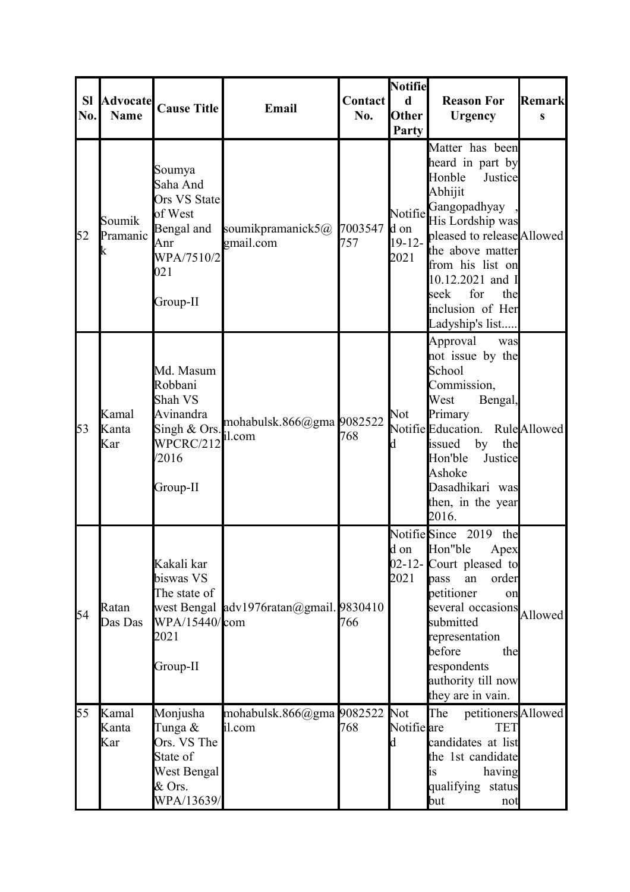| <b>SI</b><br>No. | <b>Advocate</b><br><b>Name</b> | <b>Cause Title</b>                                                                                  | Email                                   | Contact<br>No. | <b>Notifie</b><br>$\mathbf d$<br><b>Other</b><br>Party | <b>Reason For</b><br><b>Urgency</b>                                                                                                                                                                                                                            | <b>Remark</b><br>S |
|------------------|--------------------------------|-----------------------------------------------------------------------------------------------------|-----------------------------------------|----------------|--------------------------------------------------------|----------------------------------------------------------------------------------------------------------------------------------------------------------------------------------------------------------------------------------------------------------------|--------------------|
| 52               | Soumik<br>Pramanic<br>k        | Soumya<br>Saha And<br>Ors VS State<br>of West<br>Bengal and<br>Anr<br>WPA/7510/2<br>021<br>Group-II | soumikpramanick5@ 7003547<br>gmail.com  | 757            | Notifie<br>d on<br>$19-12-$<br>2021                    | Matter has been<br>heard in part by<br>Honble<br>Justice<br>Abhijit<br>Gangopadhyay<br>His Lordship was<br>pleased to release Allowed<br>the above matter<br>from his list on<br>10.12.2021 and I<br>for<br>seek<br>the<br>inclusion of Her<br>Ladyship's list |                    |
| 53               | Kamal<br>Kanta<br>Kar          | Md. Masum<br>Robbani<br>Shah VS<br>Avinandra<br>Singh & Ors.<br>WPCRC/212<br>/2016<br>Group-II      | mohabulsk.866@gma 9082522<br>il.com     | 768            | Not<br>d                                               | Approval<br>was<br>not issue by the<br>School<br>Commission,<br>West<br>Bengal,<br>Primary<br>Notifie Education.<br>issued<br>by<br>the<br>Hon'ble<br>Justice<br>Ashoke<br>Dasadhikari was<br>then, in the year<br>2016.                                       | RuleAllowed        |
| 54               | Ratan<br>Das Das               | Kakali kar<br>biswas VS<br>The state of<br>WPA/15440/com<br>2021<br>Group-II                        | west Bengal adv1976ratan@gmail. 9830410 | 766            | d on<br>2021                                           | Notifie Since 2019<br>the<br>Hon"ble<br>Apex<br>02-12- Court pleased to<br>order<br>pass<br>an<br>petitioner<br>on<br>several occasions<br>Allowed<br>submitted<br>representation<br>before<br>the<br>respondents<br>authority till now<br>they are in vain.   |                    |
| 55               | Kamal<br>Kanta<br>Kar          | Monjusha<br>Tunga &<br>Ors. VS The<br>State of<br>West Bengal<br>& Ors.<br>WPA/13639/               | mohabulsk.866@gma 9082522<br>il.com     | 768            | <b>Not</b><br>Notifie are<br>d                         | petitioners Allowed<br>The<br><b>TET</b><br>candidates at list<br>the 1st candidate<br>having<br>1S<br>qualifying status<br>but<br>not                                                                                                                         |                    |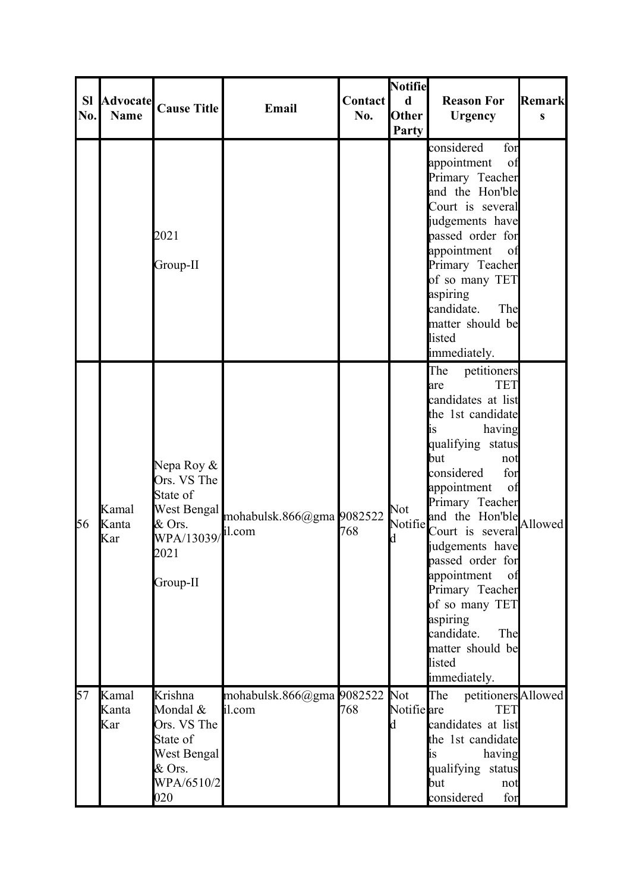| <b>SI</b> | <b>Advocate</b>       | <b>Cause Title</b>                                                                               | Email                               | <b>Contact</b> | <b>Notifie</b><br>$\mathbf d$ | <b>Reason For</b>                                                                                                                                                                                                                                                                                                                                                                                                           | Remark  |
|-----------|-----------------------|--------------------------------------------------------------------------------------------------|-------------------------------------|----------------|-------------------------------|-----------------------------------------------------------------------------------------------------------------------------------------------------------------------------------------------------------------------------------------------------------------------------------------------------------------------------------------------------------------------------------------------------------------------------|---------|
| No.       | <b>Name</b>           |                                                                                                  |                                     | No.            | <b>Other</b><br>Party         | <b>Urgency</b>                                                                                                                                                                                                                                                                                                                                                                                                              | S       |
|           |                       | 2021<br>Group-II                                                                                 |                                     |                |                               | considered<br>for<br>appointment<br>of<br>Primary Teacher<br>and the Hon'ble<br>Court is several<br>judgements have<br>passed order for<br>appointment<br>of<br>Primary Teacher<br>of so many TET<br>aspiring<br>candidate.<br>The<br>matter should be<br>listed<br>immediately.                                                                                                                                            |         |
| 56        | Kamal<br>Kanta<br>Kar | Nepa Roy &<br>Ors. VS The<br>State of<br>West Bengal<br>& Ors.<br>WPA/13039/<br>2021<br>Group-II | mohabulsk.866@gma 9082522<br>il.com | 768            | Not<br>Notifie<br>d           | The<br>petitioners<br><b>TET</b><br>lare<br>candidates at list<br>the 1st candidate<br>having<br>lis<br>qualifying status<br>but<br>not<br>considered<br>for<br>appointment<br>of<br>Primary Teacher<br>and the Hon'ble<br>Court is several<br>judgements have<br>passed order for<br>appointment<br>of<br>Primary Teacher<br>of so many TET<br>aspiring<br>candidate.<br>The<br>matter should be<br>listed<br>immediately. | Allowed |
| 57        | Kamal<br>Kanta<br>Kar | Krishna<br>Mondal &<br>Ors. VS The<br>State of<br>West Bengal<br>& Ors.<br>WPA/6510/2<br>020     | mohabulsk.866@gma 9082522<br>il.com | 768            | Not<br>Notifie are<br>d       | petitioners Allowed<br>The<br><b>TET</b><br>candidates at list<br>the 1st candidate<br>having<br>is<br>qualifying status<br>but<br>not<br>considered<br>for                                                                                                                                                                                                                                                                 |         |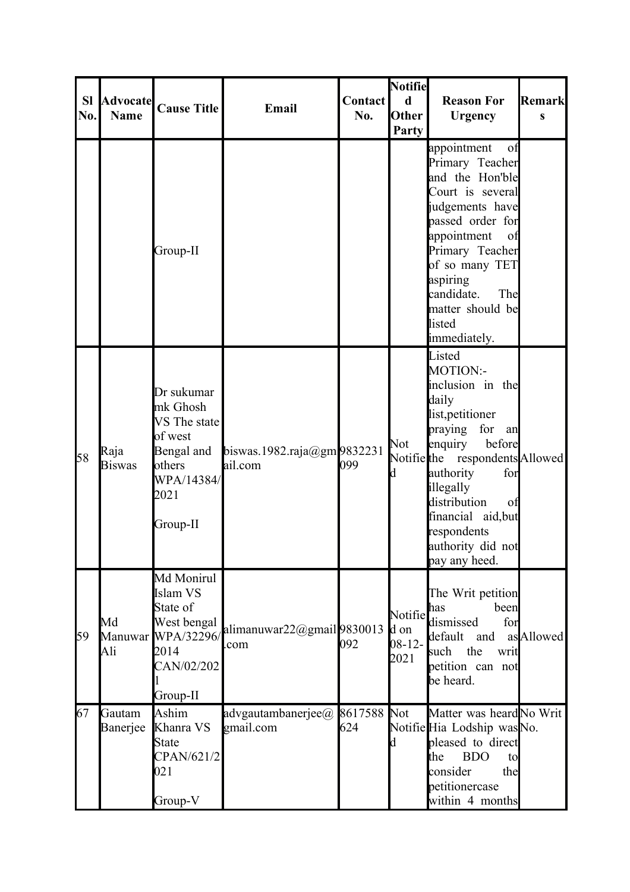| <b>SI</b><br>No. | <b>Advocate</b><br><b>Name</b> | <b>Cause Title</b>                                                                                          | Email                                    | <b>Contact</b><br>No. | Notifie<br>$\mathbf d$<br><b>Other</b><br>Party | <b>Reason For</b><br><b>Urgency</b>                                                                                                                                                                                                                                                   | <b>Remark</b><br>S |
|------------------|--------------------------------|-------------------------------------------------------------------------------------------------------------|------------------------------------------|-----------------------|-------------------------------------------------|---------------------------------------------------------------------------------------------------------------------------------------------------------------------------------------------------------------------------------------------------------------------------------------|--------------------|
|                  |                                | Group-II                                                                                                    |                                          |                       |                                                 | appointment<br>of<br>Primary Teacher<br>and the Hon'ble<br>Court is several<br>judgements have<br>passed order for<br>appointment<br>of<br>Primary Teacher<br>of so many TET<br>aspiring<br>candidate.<br>The<br>matter should be<br>listed<br>immediately.                           |                    |
| 58               | Raja<br><b>Biswas</b>          | Dr sukumar<br>mk Ghosh<br>VS The state<br>of west<br>Bengal and<br>others<br>WPA/14384/<br>2021<br>Group-II | biswas.1982.raja@gm $9832231$<br>ail.com | 099                   | Not<br>h                                        | Listed<br>MOTION:-<br>inclusion in the<br>daily<br>list, petitioner<br>praying<br>for<br>an<br>enquiry<br>before<br>Notifie the respondents Allowed<br>authority<br>for<br>illegally<br>distribution<br>of<br>financial aid, but<br>respondents<br>authority did not<br>pay any heed. |                    |
| 59               | Md<br>Ali                      | Md Monirul<br>Islam VS<br>State of<br>West bengal<br>Manuwar WPA/32296/<br>2014<br>CAN/02/202<br>Group-II   | alimanuwar22@gmail9830013<br>com         | 092                   | Notifie<br>d on<br>$08 - 12 -$<br>2021          | The Writ petition<br>been<br>has<br>dismissed<br>for<br>and<br>default<br>the<br>such<br>writ<br>petition can not<br>be heard.                                                                                                                                                        | asAllowed          |
| 67               | Gautam<br>Banerjee             | Ashim<br>Khanra VS<br><b>State</b><br>CPAN/621/2<br>021<br>Group-V                                          | advgautambanerjee@ 8617588<br>gmail.com  | 624                   | Not<br>ld.                                      | Matter was heard No Writ<br>Notifie Hia Lodship was No.<br>pleased to direct<br><b>BDO</b><br>the<br>to<br>consider<br>the<br>petitionercase<br>within 4 months                                                                                                                       |                    |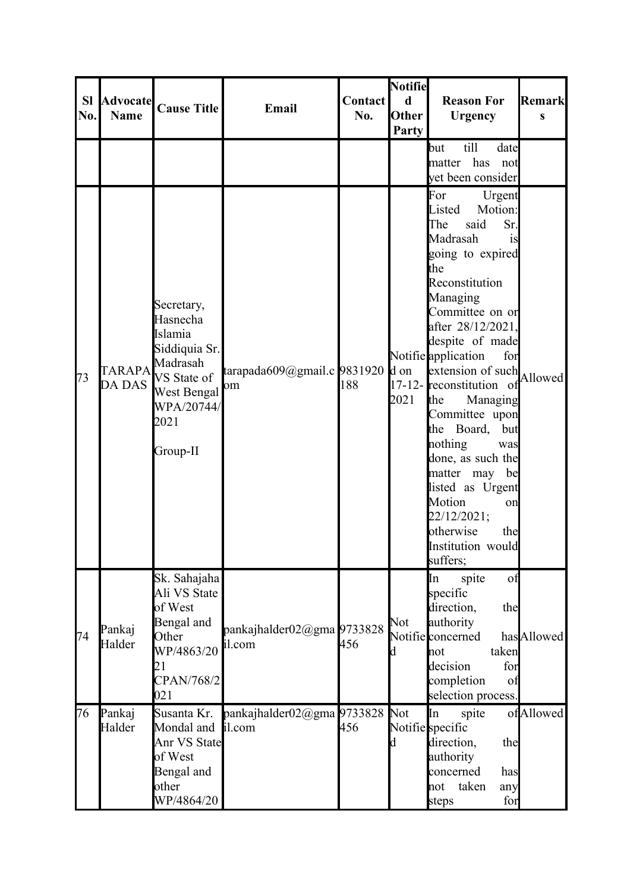| <b>SI</b><br>No. | <b>Advocate</b><br><b>Name</b> | <b>Cause Title</b>                                                                                                                    | Email                                | <b>Contact</b><br>No. | <b>Notifie</b><br>$\mathbf d$<br><b>Other</b><br>Party | <b>Reason For</b><br><b>Urgency</b>                                                                                                                                                                                                                                                                                                                                                                                                                                                                                | Remark<br>S |
|------------------|--------------------------------|---------------------------------------------------------------------------------------------------------------------------------------|--------------------------------------|-----------------------|--------------------------------------------------------|--------------------------------------------------------------------------------------------------------------------------------------------------------------------------------------------------------------------------------------------------------------------------------------------------------------------------------------------------------------------------------------------------------------------------------------------------------------------------------------------------------------------|-------------|
|                  |                                |                                                                                                                                       |                                      |                       |                                                        | till<br>date<br>but<br>matter has not<br>yet been consider                                                                                                                                                                                                                                                                                                                                                                                                                                                         |             |
| 73               | <b>DA DAS</b>                  | Secretary,<br>Hasnecha<br>Islamia<br>Siddiquia Sr.<br>TARAPA Madrasah<br>VS State of<br>West Bengal<br>WPA/20744/<br>2021<br>Group-II | tarapada609@gmail.c 9831920<br>om    | 188                   | d on<br>2021                                           | For<br>Urgent<br>Listed<br>Motion:<br>said<br>The<br>Sr.<br>Madrasah<br>is<br>going to expired<br>the<br>Reconstitution<br>Managing<br>Committee on or<br>after 28/12/2021,<br>despite of made<br>Notifie application<br>for<br>extension of such<br>17-12- <b>r</b> econstitution of<br>the<br>Managing<br>Committee upon<br>the Board,<br>but<br>nothing<br>was<br>done, as such the<br>matter may<br>be<br>listed as Urgent<br>Motion<br>on<br>22/12/2021;<br>otherwise<br>the<br>Institution would<br>suffers; | Allowed     |
| 74               | Pankaj<br>Halder               | Sk. Sahajaha<br>Ali VS State<br>of West<br>Bengal and<br>Other<br>WP/4863/20<br>21<br>CPAN/768/2<br>021                               | pankajhalder02@gma 9733828<br>il.com | 456                   | Not<br>d                                               | spite<br>of<br>In<br>specific<br>direction,<br>the<br>authority<br>Notifie concerned<br>taken<br>not<br>decision<br>for<br>completion<br>of<br>selection process.                                                                                                                                                                                                                                                                                                                                                  | hasAllowed  |
| 76               | Pankaj<br>Halder               | Susanta Kr.<br>Mondal and<br><b>Anr VS State</b><br>of West<br>Bengal and<br>other<br>WP/4864/20                                      | pankajhalder02@gma 9733828<br>il.com | 456                   | Not<br>d                                               | In<br>spite<br>Notifie specific<br>direction,<br>the<br>authority<br>concerned<br>has<br>taken<br>not<br>any<br>for<br>steps                                                                                                                                                                                                                                                                                                                                                                                       | ofAllowed   |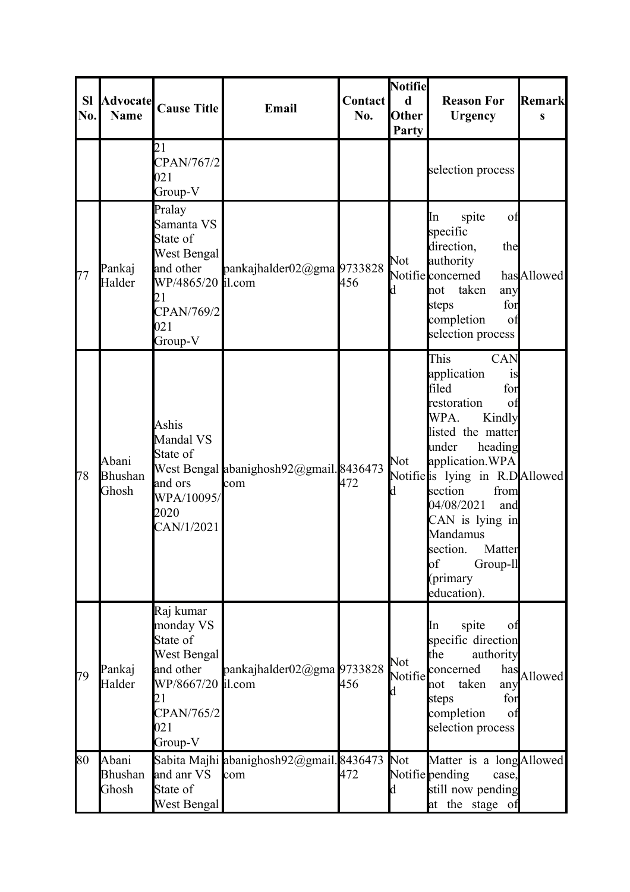| <b>SI</b><br>No. | <b>Advocate</b><br><b>Name</b>   | <b>Cause Title</b>                                                                                                        | Email                                          | Contact<br>No. | <b>Notifie</b><br>d<br>Other<br>Party | <b>Reason For</b><br><b>Urgency</b>                                                                                                                                                                                                                                                                                                    | Remark<br>S |
|------------------|----------------------------------|---------------------------------------------------------------------------------------------------------------------------|------------------------------------------------|----------------|---------------------------------------|----------------------------------------------------------------------------------------------------------------------------------------------------------------------------------------------------------------------------------------------------------------------------------------------------------------------------------------|-------------|
|                  |                                  | 21<br>CPAN/767/2<br>021<br>Group-V                                                                                        |                                                |                |                                       | selection process                                                                                                                                                                                                                                                                                                                      |             |
| 77               | Pankaj<br>Halder                 | Pralay<br>Samanta VS<br>State of<br>West Bengal<br>and other<br>WP/4865/20 il.com<br>21<br>CPAN/769/2<br>021<br>Group-V   | pankajhalder02@gma 9733828                     | 456            | Not<br>d                              | spite<br>of<br>In<br>specific<br>direction,<br>the<br>authority<br>Notifie concerned<br>taken<br>not<br>any<br>for<br>steps<br>completion<br>of<br>selection process                                                                                                                                                                   | hasAllowed  |
| 78               | Abani<br><b>Bhushan</b><br>Ghosh | Ashis<br>Mandal VS<br>State of<br>and ors<br>WPA/10095/<br>2020<br>CAN/1/2021                                             | West Bengal abanighosh92@gmail.8436473<br>com  | 472            | Not<br>d                              | This<br><b>CAN</b><br>application<br>1S<br>filed<br>for<br>restoration<br>of<br>WPA.<br>Kindly<br>listed the matter<br>under<br>heading<br>application.WPA<br>Notifielis lying in R.DAllowed<br>from<br>section<br>04/08/2021<br>and<br>CAN is lying in<br>Mandamus<br>section.<br>Matter<br>of<br>Group-ll<br>(primary<br>education). |             |
| 79               | Pankaj<br>Halder                 | Raj kumar<br>monday VS<br>State of<br>West Bengal<br>and other<br>WP/8667/20 il.com<br>21<br>CPAN/765/2<br>021<br>Group-V | pankajhalder $02$ @gma 9733828                 | 456            | Not<br>Notifie<br>d                   | spite<br>In<br>0 <sup>t</sup><br>specific direction<br>the<br>authority<br>has<br>concerned<br>taken<br>not<br>any<br>steps<br>for<br>completion<br>of<br>selection process                                                                                                                                                            | Allowed     |
| 80               | Abani<br><b>Bhushan</b><br>Ghosh | and anr VS<br>State of<br>West Bengal                                                                                     | Sabita Majhi abanighosh92@gmail.8436473<br>com | 472            | Not<br>d                              | Matter is a longAllowed<br>Notifie pending<br>case,<br>still now pending<br>at the stage of                                                                                                                                                                                                                                            |             |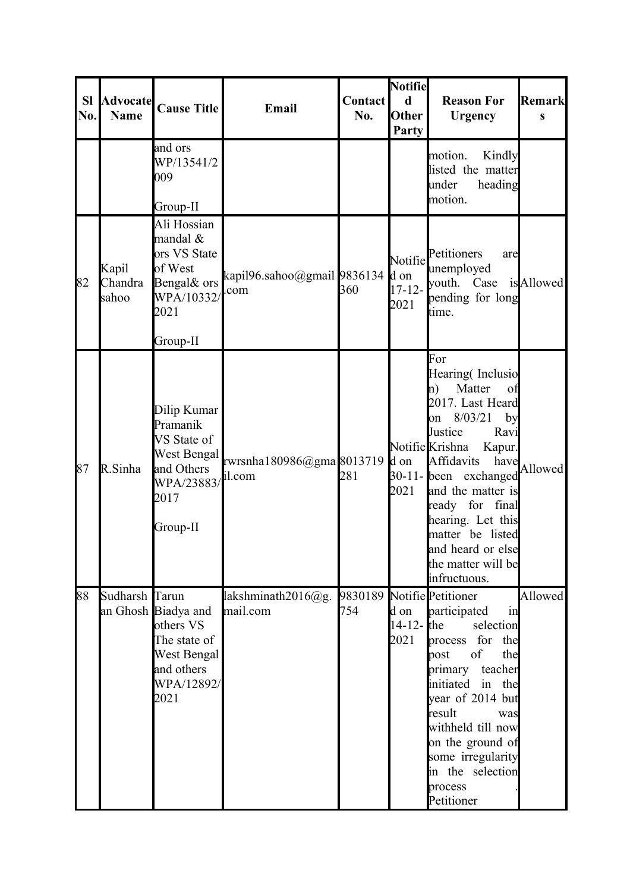| <b>SI</b><br>No. | <b>Advocate</b><br><b>Name</b> | <b>Cause Title</b>                                                                                    | Email                              | <b>Contact</b><br>No. | Notifie<br>d<br>Other<br><b>Party</b>  | <b>Reason For</b><br><b>Urgency</b>                                                                                                                                                                                                                                                                                                      | <b>Remark</b><br>S |
|------------------|--------------------------------|-------------------------------------------------------------------------------------------------------|------------------------------------|-----------------------|----------------------------------------|------------------------------------------------------------------------------------------------------------------------------------------------------------------------------------------------------------------------------------------------------------------------------------------------------------------------------------------|--------------------|
|                  |                                | and ors<br>WP/13541/2<br>009<br>Group-II                                                              |                                    |                       |                                        | motion.<br>Kindly<br>listed the matter<br>under<br>heading<br>motion.                                                                                                                                                                                                                                                                    |                    |
| 82               | Kapil<br>Chandra<br>sahoo      | Ali Hossian<br>mandal &<br>ors VS State<br>of West<br>Bengal& ors<br>WPA/10332<br>2021<br>Group-II    | kapil96.sahoo@gmail 9836134<br>com | 360                   | Notifie<br>d on<br>$17 - 12 -$<br>2021 | Petitioners<br>are<br>unemployed<br>youth. Case is Allowed<br>pending for long<br>time.                                                                                                                                                                                                                                                  |                    |
| 87               | R.Sinha                        | Dilip Kumar<br>Pramanik<br>VS State of<br>West Bengal<br>and Others<br>WPA/23883/<br>2017<br>Group-II | rwrsnha180986@gma8013719<br>il.com | 281                   | d on<br>2021                           | For<br>Hearing (Inclusio<br>Matter<br>$\ln$<br>of<br>2017. Last Heard<br>8/03/21<br>by<br>lon<br>Justice<br>Ravi<br>Notifie Krishna<br>Kapur.<br>Affidavits<br>have<br>30-11-lbeen exchanged<br>and the matter is<br>ready for final<br>hearing. Let this<br>matter be listed<br>and heard or else<br>the matter will be<br>infructuous. | Allowed            |
| 88               | Sudharsh Tarun                 | an Ghosh Biadya and<br>others VS<br>The state of<br>West Bengal<br>and others<br>WPA/12892/<br>2021   | lakshminath $2016@g$ .<br>mail.com | 754                   | d on<br>14-12- $the$<br>2021           | 9830189 Notifie Petitioner<br>in<br>participated<br>selection<br>process for the<br>of<br>the<br>post<br>primary<br>teacher<br>initiated<br>the<br>in<br>year of 2014 but<br>result<br>was<br>withheld till now<br>on the ground of<br>some irregularity<br>in the selection<br>process<br>Petitioner                                    | Allowed            |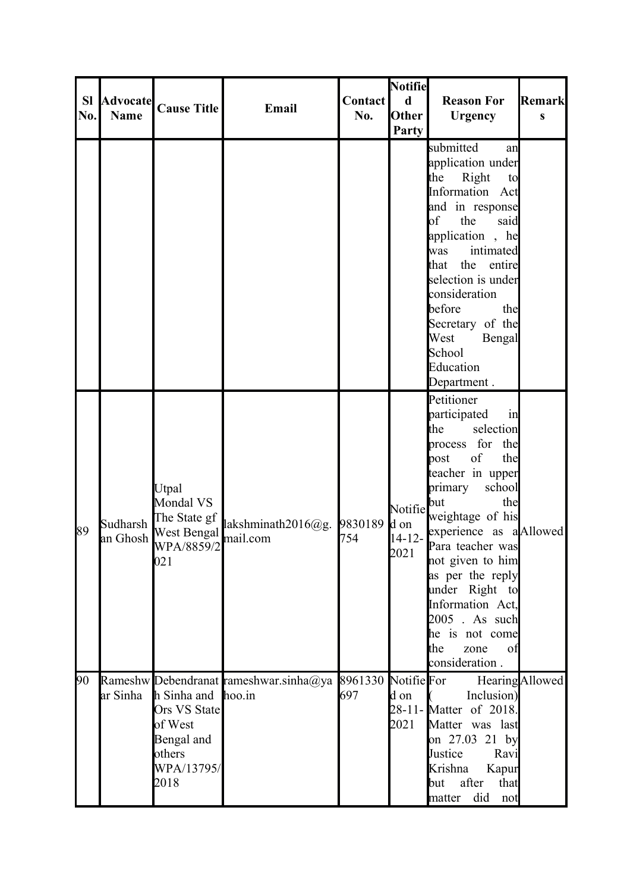| <b>SI</b><br>No. | <b>Advocate</b><br><b>Name</b> | <b>Cause Title</b>                                                                   | Email                                                                                | <b>Contact</b><br>No. | <b>Notifie</b><br>$\mathbf d$<br><b>Other</b><br>Party | <b>Reason For</b><br><b>Urgency</b>                                                                                                                                                                                                                                                                                                                                                                   | <b>Remark</b><br>S |
|------------------|--------------------------------|--------------------------------------------------------------------------------------|--------------------------------------------------------------------------------------|-----------------------|--------------------------------------------------------|-------------------------------------------------------------------------------------------------------------------------------------------------------------------------------------------------------------------------------------------------------------------------------------------------------------------------------------------------------------------------------------------------------|--------------------|
|                  |                                |                                                                                      |                                                                                      |                       |                                                        | submitted<br>an<br>application under<br>Right<br>the<br>to<br>Information Act<br>and in response<br>$\bf{a}$<br>the<br>said<br>application, he<br>intimated<br>was<br>the entire<br>that<br>selection is under<br>consideration<br>before<br>the<br>Secretary of the<br>West<br>Bengal<br>School<br>Education                                                                                         |                    |
| 89               | Sudharsh<br>an Ghosh           | Utpal<br>Mondal VS<br>The State gf<br><b>West Bengal</b><br>WPA/8859/2<br>021        | lakshminath2016@g.<br>mail.com                                                       | 9830189<br>754        | Notifie<br>d on<br>$14 - 12 -$<br>2021                 | Department.<br>Petitioner<br>participated<br>$\sin$<br>selection<br>the<br>process for<br>the<br>the<br>of<br>post<br>teacher in upper<br>primary<br>school<br>but<br>the<br>weightage of his<br>experience as a Allowed<br>Para teacher was<br>not given to him<br>as per the reply<br>under Right to<br>Information Act,<br>2005 . As such<br>he is not come<br>the<br>zone<br>of<br>consideration. |                    |
| 90               | ar Sinha                       | h Sinha and<br>Ors VS State<br>of West<br>Bengal and<br>others<br>WPA/13795/<br>2018 | Rameshw Debendranat rameshwar.sinha@ya 8961330 Notifie For Hearing Allowed<br>hoo.in | 697                   | d on<br>2021                                           | Inclusion)<br>28-11-Matter of 2018.<br>Matter was last<br>on 27.03 21 by<br>Justice<br>Ravi<br>Krishna<br>Kapur<br>that<br>after<br>but<br>did not<br>matter                                                                                                                                                                                                                                          |                    |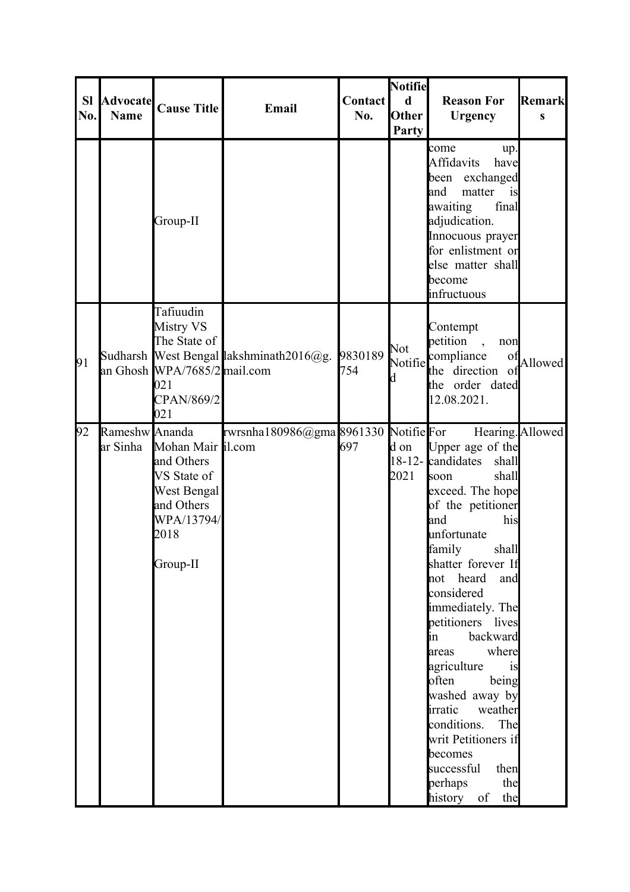| <b>SI</b><br>No. | <b>Advocate</b><br><b>Name</b> | <b>Cause Title</b>                                                                                            | Email                                   | <b>Contact</b><br>No. | Notifie<br>$\mathbf d$<br>Other<br>Party | <b>Reason For</b><br><b>Urgency</b>                                                                                                                                                                                                                                                                                                                                                                                                                                                                                  | <b>Remark</b><br>S |
|------------------|--------------------------------|---------------------------------------------------------------------------------------------------------------|-----------------------------------------|-----------------------|------------------------------------------|----------------------------------------------------------------------------------------------------------------------------------------------------------------------------------------------------------------------------------------------------------------------------------------------------------------------------------------------------------------------------------------------------------------------------------------------------------------------------------------------------------------------|--------------------|
|                  |                                | Group-II                                                                                                      |                                         |                       |                                          | come<br>up.<br>Affidavits<br>have<br>been exchanged<br>matter<br>land<br>is<br>awaiting<br>final<br>adjudication.<br>Innocuous prayer<br>for enlistment or<br>else matter shall<br>become<br>infructuous                                                                                                                                                                                                                                                                                                             |                    |
| 91               |                                | Tafiuudin<br><b>Mistry VS</b><br>The State of<br>an Ghosh WPA/7685/2 mail.com<br>021<br>CPAN/869/2<br>021     | Sudharsh West Bengal lakshminath2016@g. | 9830189<br>754        | Not<br>Notifie<br>d                      | Contempt<br>petition<br>$\overline{\phantom{a}}$<br>non<br>compliance<br><sub>o</sub> t<br>the direction of<br>the order dated<br>12.08.2021.                                                                                                                                                                                                                                                                                                                                                                        | Allowed            |
| 92               | Rameshw Ananda<br>ar Sinha     | Mohan Mair il.com<br>and Others<br>VS State of<br>West Bengal<br>and Others<br>WPA/13794/<br>2018<br>Group-II | rwrsnha180986@gma8961330 NotifieFor     | 697                   | d on<br>2021                             | Hearing. Allowed<br>Upper age of the<br>18-12-candidates<br>shall<br>shall<br>soon<br>exceed. The hope<br>of the petitioner<br>and<br>his<br>unfortunate<br>shall<br>family<br>shatter forever If<br>not heard<br>and<br>considered<br>immediately. The<br>petitioners lives<br>backward<br>in<br>where<br>areas<br>agriculture<br>is<br>often<br>being<br>washed away by<br>irratic<br>weather<br>conditions.<br>The<br>writ Petitioners if<br>becomes<br>successful<br>then<br>perhaps<br>the<br>history of<br>the |                    |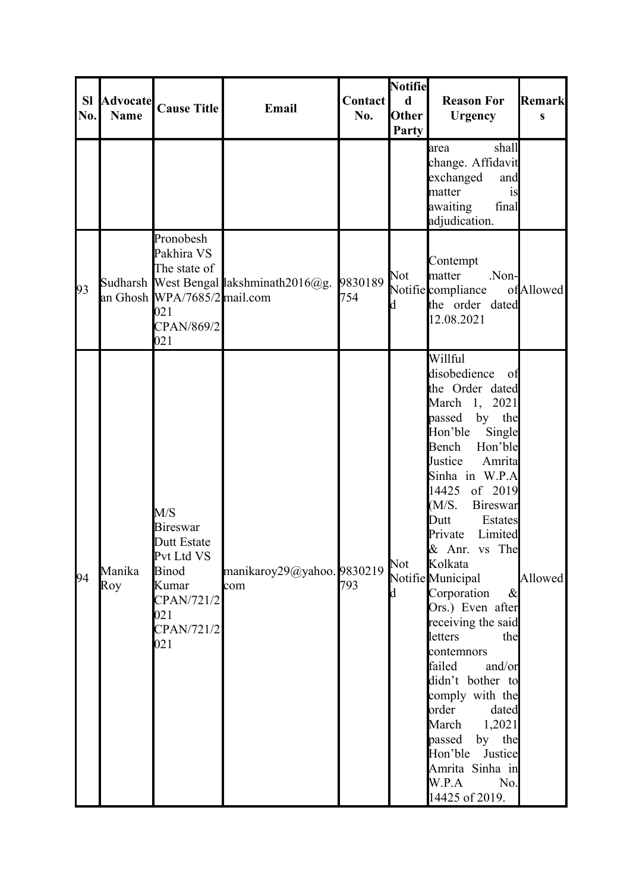| <b>SI</b><br>No. | <b>Advocate</b><br><b>Name</b> | <b>Cause Title</b>                                                                                                      | Email                                   | <b>Contact</b><br>No. | <b>Notifie</b><br>$\mathbf d$<br><b>Other</b><br>Party | <b>Reason For</b><br><b>Urgency</b>                                                                                                                                                                                                                                                                                                                                                                                                                                                                                                                                                               | Remark<br>S |
|------------------|--------------------------------|-------------------------------------------------------------------------------------------------------------------------|-----------------------------------------|-----------------------|--------------------------------------------------------|---------------------------------------------------------------------------------------------------------------------------------------------------------------------------------------------------------------------------------------------------------------------------------------------------------------------------------------------------------------------------------------------------------------------------------------------------------------------------------------------------------------------------------------------------------------------------------------------------|-------------|
|                  |                                |                                                                                                                         |                                         |                       |                                                        | shall<br>area<br>change. Affidavit<br>exchanged<br>and<br>matter<br><sub>is</sub><br>awaiting<br>final<br>adjudication.                                                                                                                                                                                                                                                                                                                                                                                                                                                                           |             |
| 93               |                                | Pronobesh<br>Pakhira VS<br>The state of<br>an Ghosh WPA/7685/2 mail.com<br> 021<br>CPAN/869/2<br>021                    | Sudharsh West Bengal lakshminath2016@g. | 9830189<br>754        | Not<br>Ιd                                              | Contempt<br>matter<br>Non-<br>Notifiecompliance<br>the order dated<br>12.08.2021                                                                                                                                                                                                                                                                                                                                                                                                                                                                                                                  | ofAllowed   |
| 94               | Manika<br>Roy                  | M/S<br><b>Bireswar</b><br>Dutt Estate<br>Pvt Ltd VS<br><b>Binod</b><br>Kumar<br>CPAN/721/2<br>021<br>CPAN/721/2<br> 021 | manikaroy29@yahoo. 9830219<br>com       | 793                   | Not<br>Id.                                             | Willful<br>disobedience<br>- of<br>the Order dated<br>March 1, 2021<br>passed by the<br>Hon'ble<br>Single<br>Hon'ble<br>Bench<br>Justice<br>Amrita<br>Sinha in W.P.A<br>14425<br>of 2019<br>(M/S.<br>Bireswar<br>Dutt<br>Estates<br>Private<br>Limited<br>& Anr. vs The<br>Kolkata<br>Notifie Municipal<br>Corporation<br>$\&$<br>Ors.) Even after<br>receiving the said<br>letters<br>the<br>contemnors<br>failed<br>and/or<br>didn't bother to<br>comply with the<br>order<br>dated<br>March 1,2021<br>by the<br>passed<br>Hon'ble Justice<br>Amrita Sinha in<br>W.P.A<br>No.<br>14425 of 2019. | Allowed     |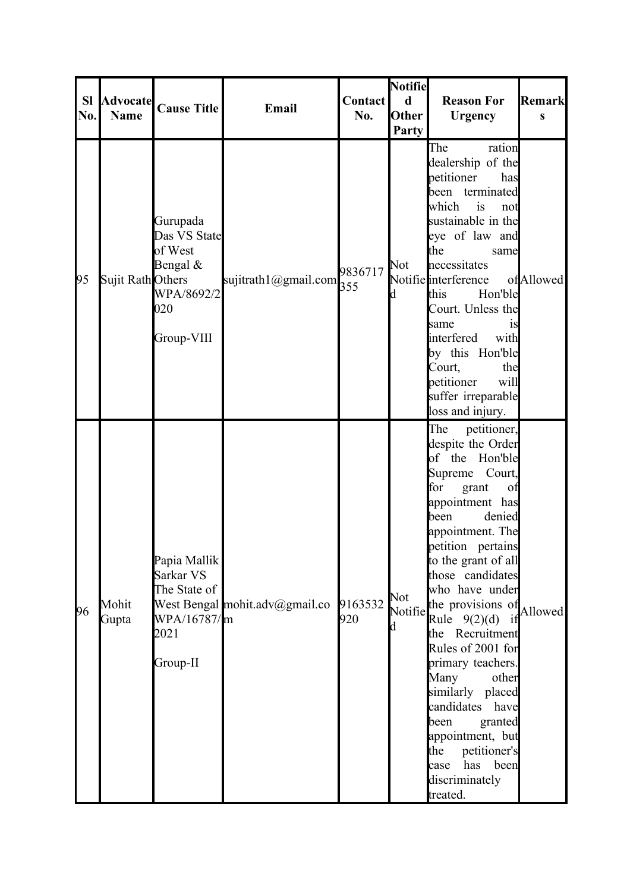| <b>SI</b><br>No. | <b>Name</b>       | Advocate Cause Title                                                               | Email                          | <b>Contact</b><br>No. | <b>Notifie</b><br>$\mathbf d$<br><b>Other</b><br>Party | <b>Reason For</b><br><b>Urgency</b>                                                                                                                                                                                                                                                                                                                                                                                                                                                                                                        | Remark<br>$\mathbf{s}$ |
|------------------|-------------------|------------------------------------------------------------------------------------|--------------------------------|-----------------------|--------------------------------------------------------|--------------------------------------------------------------------------------------------------------------------------------------------------------------------------------------------------------------------------------------------------------------------------------------------------------------------------------------------------------------------------------------------------------------------------------------------------------------------------------------------------------------------------------------------|------------------------|
| 95               | Sujit Rath Others | Gurupada<br>Das VS State<br>of West<br>Bengal &<br>WPA/8692/2<br>020<br>Group-VIII | sujitrath1@gmail.com           | 9836717<br>355        | Not<br>d                                               | The<br>ration<br>dealership of the<br>petitioner<br>has<br>been terminated<br>which<br>is<br>not<br>sustainable in the<br>eye of law and<br>the<br>same<br>necessitates<br>Notifie interference<br>Hon'ble<br>this<br>Court. Unless the<br>same<br>1S<br>interfered<br>with<br>by this Hon'ble<br>Court,<br>the<br>will<br>petitioner<br>suffer irreparable<br>loss and injury.                                                                                                                                                            | ofAllowed              |
| 96               | Mohit<br>Gupta    | Papia Mallik<br>Sarkar VS<br>The State of<br>WPA/16787/m<br>2021<br>Group-II       | West Bengal mohit.adv@gmail.co | 9163532<br>920        | Not<br>Notifie<br>d                                    | The<br>petitioner,<br>despite the Order<br>of the Hon'ble<br>Court,<br>Supreme<br>for<br>grant<br>of<br>appointment has<br>denied<br>been<br>appointment. The<br>petition pertains<br>to the grant of all<br>those candidates<br>who have under<br>the provisions of<br>Rule $9(2)(d)$<br>if<br>Recruitment<br>the<br>Rules of 2001 for<br>primary teachers.<br>Many<br>other<br>similarly placed<br>candidates<br>have<br>been<br>granted<br>appointment, but<br>the<br>petitioner's<br>has<br>been<br>case<br>discriminately<br>treated. | Allowed                |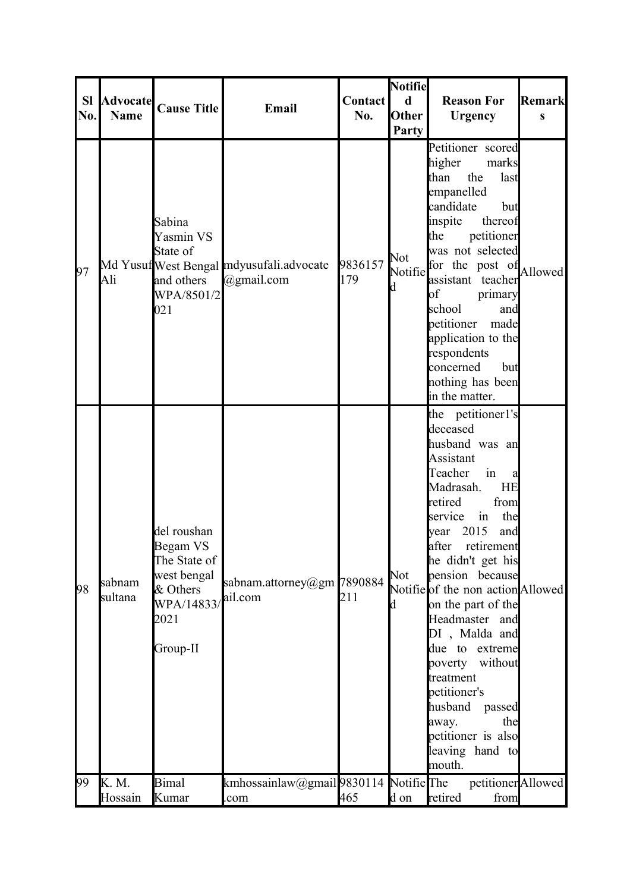| <b>SI</b><br>No. | <b>Advocate</b><br><b>Name</b> | <b>Cause Title</b>                                                                                   | Email                                                       | <b>Contact</b><br>No. | <b>Notifie</b><br>$\mathbf d$<br><b>Other</b><br>Party | <b>Reason For</b><br><b>Urgency</b>                                                                                                                                                                                                                                                                                                                                                                                                                                                               | Remark<br>S |
|------------------|--------------------------------|------------------------------------------------------------------------------------------------------|-------------------------------------------------------------|-----------------------|--------------------------------------------------------|---------------------------------------------------------------------------------------------------------------------------------------------------------------------------------------------------------------------------------------------------------------------------------------------------------------------------------------------------------------------------------------------------------------------------------------------------------------------------------------------------|-------------|
| 97               | Ali                            | Sabina<br>Yasmin VS<br>State of<br>and others<br>WPA/8501/2<br>021                                   | Md Yusuf West Bengal mdyusufali.advocate<br>$(a)$ gmail.com | 9836157<br>179        | Not<br>Notifie<br>d                                    | Petitioner scored<br>higher<br>marks<br>the<br>last<br>than<br>empanelled<br>candidate<br>but<br>inspite<br>thereof<br>petitioner<br>the<br>was not selected<br>for the post of Allowed<br>assistant teacher<br>of<br>primary<br>school<br>and<br>petitioner<br>made<br>application to the<br>respondents<br>concerned<br>but<br>nothing has been<br>in the matter.                                                                                                                               |             |
| 98               | sabnam<br>sultana              | del roushan<br>Begam VS<br>The State of<br>west bengal<br>& Others<br>WPA/14833/<br>2021<br>Group-II | sabnam.attorney@gm 7890884<br>ail.com                       | 211                   | Not<br>d                                               | the petitioner1's<br>deceased<br>husband was an<br>Assistant<br>Teacher<br>in<br>a<br>Madrasah.<br>HE<br>retired<br>from<br>in<br>the<br>service<br>2015<br>and<br>year<br>after<br>retirement<br>he didn't get his<br>pension because<br>Notifie of the non action Allowed<br>on the part of the<br>Headmaster and<br>DI, Malda and<br>due to extreme<br>without<br>poverty<br>treatment<br>petitioner's<br>husband<br>passed<br>away.<br>the<br>petitioner is also<br>leaving hand to<br>mouth. |             |
| 99               | K. M.<br>Hossain               | <b>Bimal</b><br>Kumar                                                                                | kmhossainlaw@gmail9830114 NotifieThe<br>com                 | 465                   | d on                                                   | petitioner<br>Allowed<br>retired<br>from                                                                                                                                                                                                                                                                                                                                                                                                                                                          |             |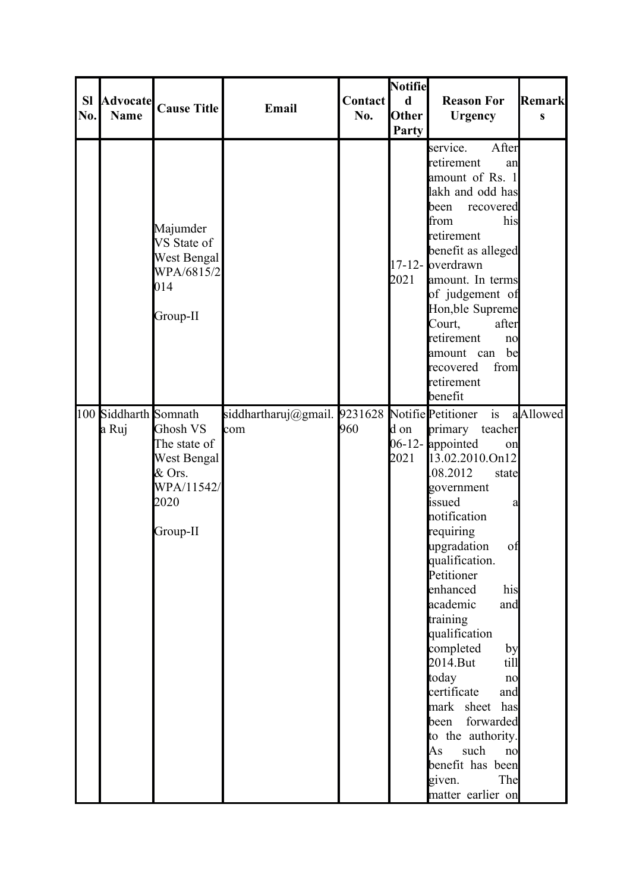| <b>SI</b><br>No. | <b>Advocate</b><br><b>Name</b> | <b>Cause Title</b>                                                                    | Email                                                 | Contact<br>No. | <b>Notifie</b><br>$\mathbf d$<br>Other<br>Party | <b>Reason For</b><br><b>Urgency</b>                                                                                                                                                                                                                                                                                                                                                                                                                                                                          | Remark<br>S |
|------------------|--------------------------------|---------------------------------------------------------------------------------------|-------------------------------------------------------|----------------|-------------------------------------------------|--------------------------------------------------------------------------------------------------------------------------------------------------------------------------------------------------------------------------------------------------------------------------------------------------------------------------------------------------------------------------------------------------------------------------------------------------------------------------------------------------------------|-------------|
|                  |                                | Majumder<br>VS State of<br>West Bengal<br>WPA/6815/2<br>014<br>Group-II               |                                                       |                | 2021                                            | After<br>service.<br>retirement<br>an<br>amount of Rs. 1<br>lakh and odd has<br>been<br>recovered<br>from<br>his<br>retirement<br>benefit as alleged<br>$17-12$ - overdrawn<br>amount. In terms<br>of judgement of<br>Hon, ble Supreme<br>Court,<br>after<br>retirement<br>no<br>be<br>amount can<br>recovered<br>from<br>retirement<br>benefit                                                                                                                                                              |             |
|                  | 100 Siddharth Somnath<br>a Ruj | Ghosh VS<br>The state of<br>West Bengal<br>$&$ Ors.<br>WPA/11542/<br>2020<br>Group-II | siddhartharuj@gmail. 9231628 NotifiePetitioner<br>com | 960            | d on<br>2021                                    | is<br>primary<br>teacher<br>06-12- <b>appointed</b><br>on<br>13.02.2010.On12<br>08.2012<br>state<br>government<br>issued<br>а<br>notification<br>requiring<br>upgradation<br>of<br>qualification.<br>Petitioner<br>enhanced<br>his<br>academic<br>and<br>training<br>qualification<br>completed<br>by<br>$2014$ . But<br>till<br>today<br>no<br>certificate<br>and<br>mark sheet has<br>forwarded<br>been<br>to the authority.<br>such<br>As<br>no<br>benefit has been<br>The<br>given.<br>matter earlier on | aAllowed    |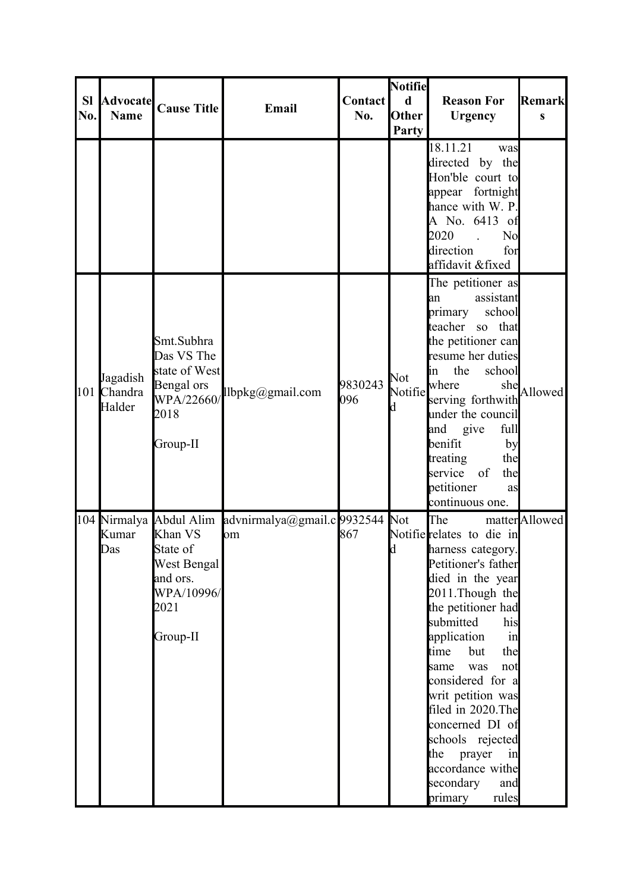| <b>SI</b><br>No. | <b>Advocate</b><br><b>Name</b>    | <b>Cause Title</b>                                                                        | Email                                                         | <b>Contact</b><br>No. | <b>Notifie</b><br>$\mathbf d$<br><b>Other</b><br>Party | <b>Reason For</b><br><b>Urgency</b>                                                                                                                                                                                                                                                                                                                                                                                      | <b>Remark</b><br>S |
|------------------|-----------------------------------|-------------------------------------------------------------------------------------------|---------------------------------------------------------------|-----------------------|--------------------------------------------------------|--------------------------------------------------------------------------------------------------------------------------------------------------------------------------------------------------------------------------------------------------------------------------------------------------------------------------------------------------------------------------------------------------------------------------|--------------------|
|                  |                                   |                                                                                           |                                                               |                       |                                                        | 18.11.21<br>was<br>directed by the<br>Hon'ble court to<br>appear fortnight<br>hance with W. P.<br>A No. 6413 of<br>2020<br>N <sub>o</sub><br>direction<br>for<br>affidavit &fixed                                                                                                                                                                                                                                        |                    |
|                  | Jagadish<br>101 Chandra<br>Halder | Smt.Subhra<br>Das VS The<br>state of West<br>Bengal ors<br>WPA/22660/<br>2018<br>Group-II | llbpkg@gmail.com                                              | 9830243<br>096        | Not<br>Notifie<br>d                                    | The petitioner as<br>assistant<br>an<br>school<br>primary<br>teacher so that<br>the petitioner can<br>resume her duties<br>the<br>school<br>ln<br>where<br>she<br>serving forthwith<br>under the council<br>and<br>full<br>give<br>benifit<br>by<br>treating<br>the<br>the<br>service<br>of<br>petitioner<br>as<br>continuous one.                                                                                       | Allowed            |
|                  | Kumar<br>Das                      | Khan VS<br>State of<br>West Bengal<br>and ors.<br>WPA/10996/<br>2021<br>Group-II          | 104 Nirmalya Abdul Alim advnirmalya@gmail.c 9932544 Not<br>om | 867                   | d                                                      | The<br>Notifie relates to die in<br>harness category.<br>Petitioner's father<br>died in the year<br>2011. Though the<br>the petitioner had<br>submitted<br>his<br>application<br>in<br>but<br>the<br>time<br>same<br>was<br>not<br>considered for a<br>writ petition was<br>filed in 2020. The<br>concerned DI of<br>schools rejected<br>prayer<br>the<br>in<br>accordance withe<br>secondary<br>and<br>primary<br>rules | matter Allowed     |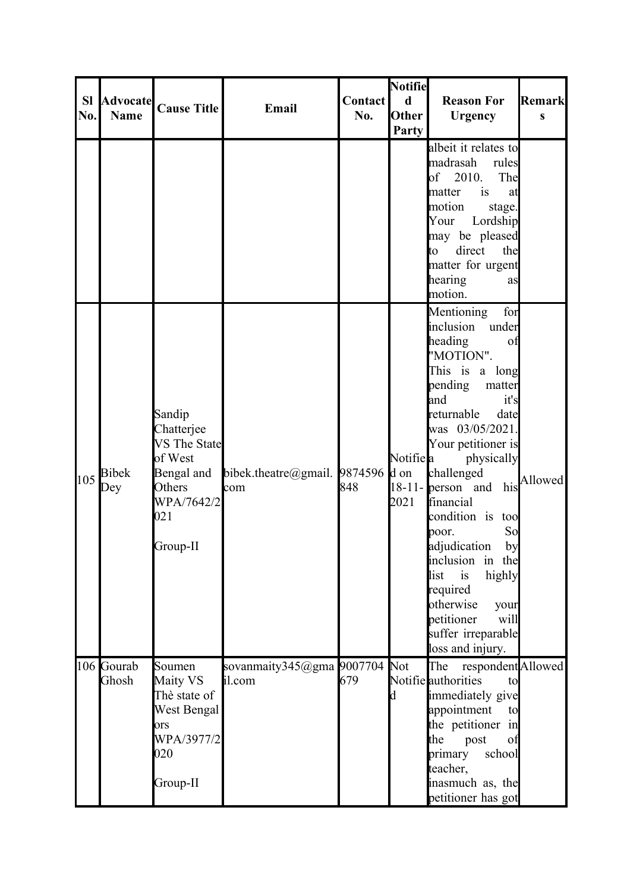| <b>SI</b><br>No. | <b>Advocate</b><br><b>Name</b> | <b>Cause Title</b>                                                                                              | Email                                 | <b>Contact</b><br>No. | <b>Notifie</b><br>$\mathbf d$<br><b>Other</b><br>Party | <b>Reason For</b><br><b>Urgency</b>                                                                                                                                                                                                                                                                                                                                                                                                                                         | Remark<br>$\bf{s}$ |
|------------------|--------------------------------|-----------------------------------------------------------------------------------------------------------------|---------------------------------------|-----------------------|--------------------------------------------------------|-----------------------------------------------------------------------------------------------------------------------------------------------------------------------------------------------------------------------------------------------------------------------------------------------------------------------------------------------------------------------------------------------------------------------------------------------------------------------------|--------------------|
|                  |                                |                                                                                                                 |                                       |                       |                                                        | albeit it relates to<br>madrasah<br>rules<br>of 2010.<br>The<br>matter<br>is<br>at<br>motion<br>stage.<br>Your<br>Lordship<br>may be pleased<br>direct<br>the<br>to<br>matter for urgent<br>hearing<br>as<br>motion.                                                                                                                                                                                                                                                        |                    |
| 105              | <b>Bibek</b><br>Dey            | Sandip<br>Chatterjee<br><b>VS</b> The State<br>of West<br>Bengal and<br>Others<br>WPA/7642/2<br>021<br>Group-II | bibek.theatre@gmail. $9874596$<br>com | 848                   | Notifie <sup>l</sup> a<br>d on<br>2021                 | for<br>Mentioning<br>inclusion<br>under<br>heading<br>of<br>"MOTION".<br>This is<br>a long<br>pending<br>matter<br>and<br>it's<br>returnable<br>date<br>was 03/05/2021.<br>Your petitioner is<br>physically<br>challenged<br>$18-11$ - person and his<br>financial<br>condition is<br>too<br>So<br>poor.<br>adjudication<br>by<br>inclusion in the<br>list<br>is<br>highly<br>required<br>otherwise<br>your<br>petitioner<br>will<br>suffer irreparable<br>loss and injury. | Allowed            |
|                  | 106 Gourab<br>Ghosh            | Soumen<br>Maity VS<br>Thè state of<br>West Bengal<br>ors<br>WPA/3977/2<br>020<br>Group-II                       | sovanmaity345@gma 9007704<br>il.com   | 679                   | Not<br>d                                               | respondent Allowed<br>The<br>Notifie authorities<br>to<br>immediately give<br>appointment<br>to<br>the petitioner in<br>the<br>post<br>of<br>primary<br>school<br>teacher,<br>inasmuch as, the<br>petitioner has got                                                                                                                                                                                                                                                        |                    |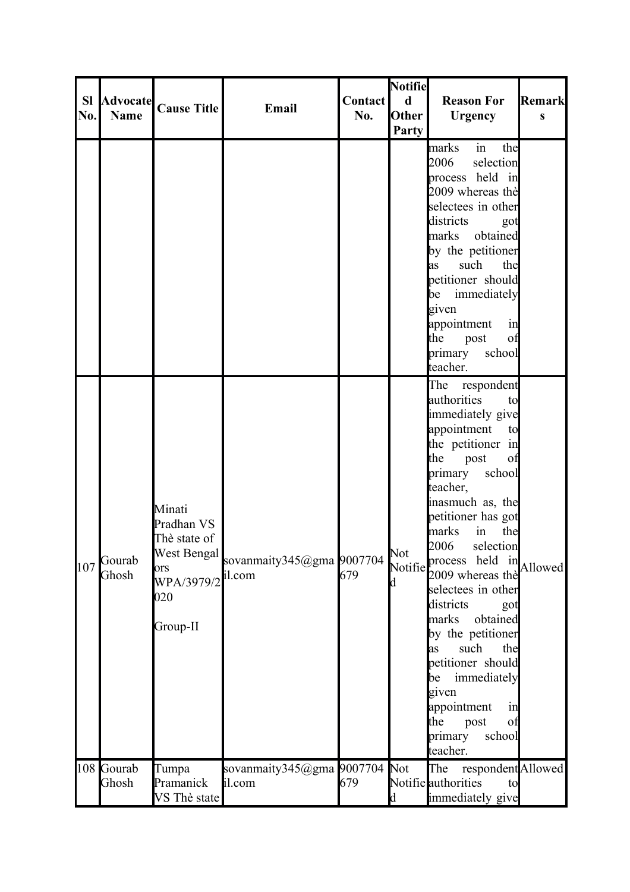| <b>SI</b><br>No. | <b>Advocate</b><br><b>Name</b> | <b>Cause Title</b>                                                           | Email                                           | <b>Contact</b><br>No. | Notifie<br>$\mathbf d$<br>Other<br>Party | <b>Reason For</b><br><b>Urgency</b>                                                                                                                                                                                                                                                                                                                                                                                                                                                                                                            | <b>Remark</b><br>$\mathbf{s}$ |
|------------------|--------------------------------|------------------------------------------------------------------------------|-------------------------------------------------|-----------------------|------------------------------------------|------------------------------------------------------------------------------------------------------------------------------------------------------------------------------------------------------------------------------------------------------------------------------------------------------------------------------------------------------------------------------------------------------------------------------------------------------------------------------------------------------------------------------------------------|-------------------------------|
|                  |                                |                                                                              |                                                 |                       |                                          | in<br>marks<br>the<br>2006<br>selection<br>process held in<br>2009 whereas thè<br>selectees in other<br>districts<br>got<br>marks obtained<br>by the petitioner<br>such<br>the<br>as<br>petitioner should<br>immediately<br>be<br>given<br>appointment<br>in<br>the<br>post<br>of<br>primary<br>school<br>teacher.                                                                                                                                                                                                                             |                               |
| 107              | Gourab<br>Ghosh                | Minati<br>Pradhan VS<br>Thè state of<br>ors<br>WPA/3979/2<br>020<br>Group-II | West Bengal sovanmaity345@gma 9007704<br>il.com | 679                   | Not<br>d                                 | The respondent<br>authorities<br>to<br>immediately give<br>appointment<br>to<br>the petitioner in<br>the<br>post<br>of<br>school<br>primary<br>teacher,<br>inasmuch as, the<br>petitioner has got<br>marks<br>$\sin$<br>the<br>2006<br>selection<br>Notifie process held in Allowed<br>2009 whereas thè<br>selectees in other<br>districts<br>got<br>obtained<br>marks<br>by the petitioner<br>such<br>the<br>as<br>petitioner should<br>immediately<br>be<br>given<br>appointment<br>in<br>the<br>post<br>of<br>primary<br>school<br>teacher. |                               |
|                  | 108 Gourab<br>Ghosh            | Tumpa<br>Pramanick<br>VS Thè state                                           | sovanmaity345@gma 9007704<br>il.com             | 679                   | Not<br>d                                 | The respondent Allowed<br>Notifie authorities<br>to<br>immediately give                                                                                                                                                                                                                                                                                                                                                                                                                                                                        |                               |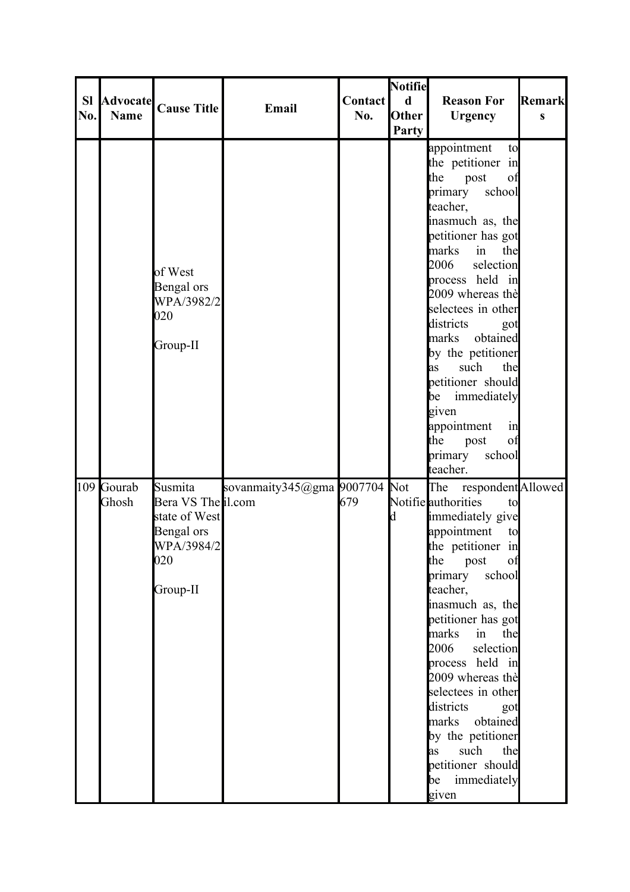| <b>SI</b><br>No. | <b>Advocate</b><br><b>Name</b> | <b>Cause Title</b>                                                                            | Email                         | Contact<br>No. | <b>Notifie</b><br>$\mathbf d$<br>Other<br><b>Party</b> | <b>Reason For</b><br><b>Urgency</b>                                                                                                                                                                                                                                                                                                                                                                                                                                    | <b>Remark</b><br>S |
|------------------|--------------------------------|-----------------------------------------------------------------------------------------------|-------------------------------|----------------|--------------------------------------------------------|------------------------------------------------------------------------------------------------------------------------------------------------------------------------------------------------------------------------------------------------------------------------------------------------------------------------------------------------------------------------------------------------------------------------------------------------------------------------|--------------------|
|                  |                                | of West<br>Bengal ors<br>WPA/3982/2<br>020<br>Group-II                                        |                               |                |                                                        | appointment<br>to<br>the petitioner in<br>the<br>post<br>of<br>school<br>primary<br>teacher,<br>inasmuch as, the<br>petitioner has got<br>marks<br>in<br>the<br>2006<br>selection<br>process held in<br>2009 whereas the<br>selectees in other<br>districts<br>got<br>obtained<br>marks<br>by the petitioner<br>such<br>the<br><b>as</b><br>petitioner should<br>immediately<br>be<br>given<br>appointment<br>in<br>the<br>post<br>of<br>primary<br>school<br>teacher. |                    |
|                  | 109 Gourab<br>Ghosh            | Susmita<br>Bera VS The il.com<br>state of West<br>Bengal ors<br>WPA/3984/2<br>020<br>Group-II | sovanmaity345@gma 9007704 Not | 679            | d                                                      | respondent Allowed<br>The<br>Notifie authorities<br>to<br>immediately give<br>appointment<br>to<br>the petitioner in<br>the<br>post<br>of<br>school<br>primary<br>teacher,<br>inasmuch as, the<br>petitioner has got<br>marks<br>in<br>the<br>2006<br>selection<br>process held in<br>2009 whereas thè<br>selectees in other<br>districts<br>got<br>marks obtained<br>by the petitioner<br>such<br>the<br>as<br>petitioner should<br>be immediately<br>given           |                    |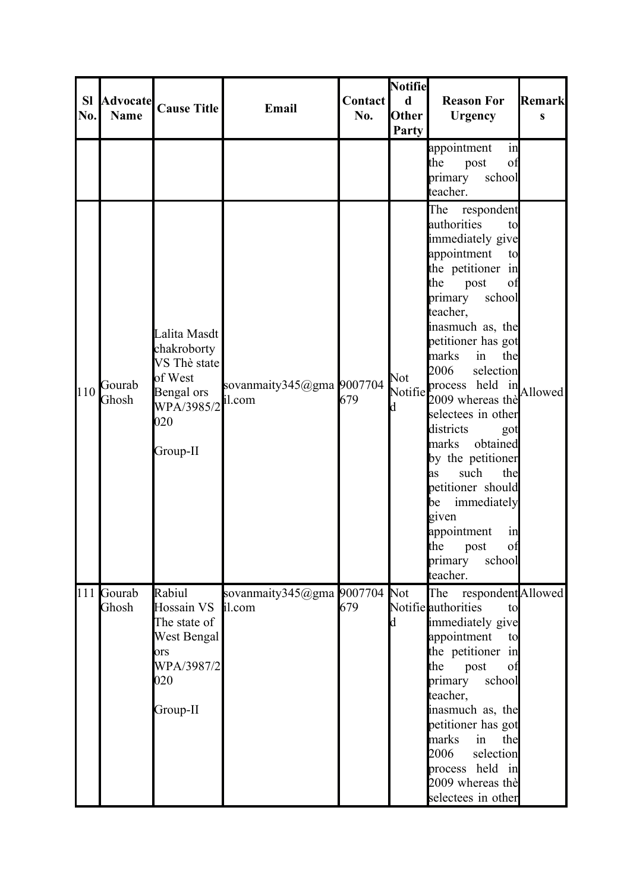| <b>SI</b><br>No. | <b>Advocate</b><br><b>Name</b> | <b>Cause Title</b>                                                                                    | Email                               | <b>Contact</b><br>No. | <b>Notifiel</b><br>$\mathbf d$<br><b>Other</b><br>Party | <b>Reason For</b><br><b>Urgency</b>                                                                                                                                                                                                                                                                                                                                                                                                                                                                                                                      | Remark<br>$\bf{s}$ |
|------------------|--------------------------------|-------------------------------------------------------------------------------------------------------|-------------------------------------|-----------------------|---------------------------------------------------------|----------------------------------------------------------------------------------------------------------------------------------------------------------------------------------------------------------------------------------------------------------------------------------------------------------------------------------------------------------------------------------------------------------------------------------------------------------------------------------------------------------------------------------------------------------|--------------------|
|                  |                                |                                                                                                       |                                     |                       |                                                         | appointment<br>in<br>the<br>post<br>of<br>primary<br>school<br>teacher.                                                                                                                                                                                                                                                                                                                                                                                                                                                                                  |                    |
| 110              | Gourab<br>Ghosh                | Lalita Masdt<br>chakroborty<br>VS Thè state<br>of West<br>Bengal ors<br>WPA/3985/2<br>020<br>Group-II | sovanmaity345@gma 9007704<br>il.com | 679                   | Not<br>Notifie<br>d                                     | The<br>respondent<br>authorities<br>to<br>immediately give<br>appointment<br>to<br>the petitioner in<br>the<br>post<br>of<br>school<br>primary<br>teacher,<br>inasmuch as, the<br>petitioner has got<br>marks<br>in<br>the<br>2006<br>selection<br>process held $\lim_{n \to \infty}$ Allowed<br>2009 whereas thè<br>selectees in other<br>districts<br>got<br>obtained<br>marks<br>by the petitioner<br>such<br>the<br>as<br>petitioner should<br>immediately<br>be<br>given<br>appointment<br>in<br>the<br>of<br>post<br>primary<br>school<br>teacher. |                    |
|                  | 111 Gourab<br>Ghosh            | Rabiul<br>Hossain VS<br>The state of<br>West Bengal<br>lors<br>WPA/3987/2<br>020<br>Group-II          | sovanmaity345@gma 9007704<br>il.com | 679                   | Not<br>d                                                | The<br>respondent Allowed<br>Notifie authorities<br>to<br>immediately give<br>appointment<br>to<br>the petitioner in<br>the<br>post<br>of<br>school<br>primary<br>teacher,<br>inasmuch as, the<br>petitioner has got<br>marks<br>in<br>the<br>2006<br>selection<br>process held in<br>2009 whereas the<br>selectees in other                                                                                                                                                                                                                             |                    |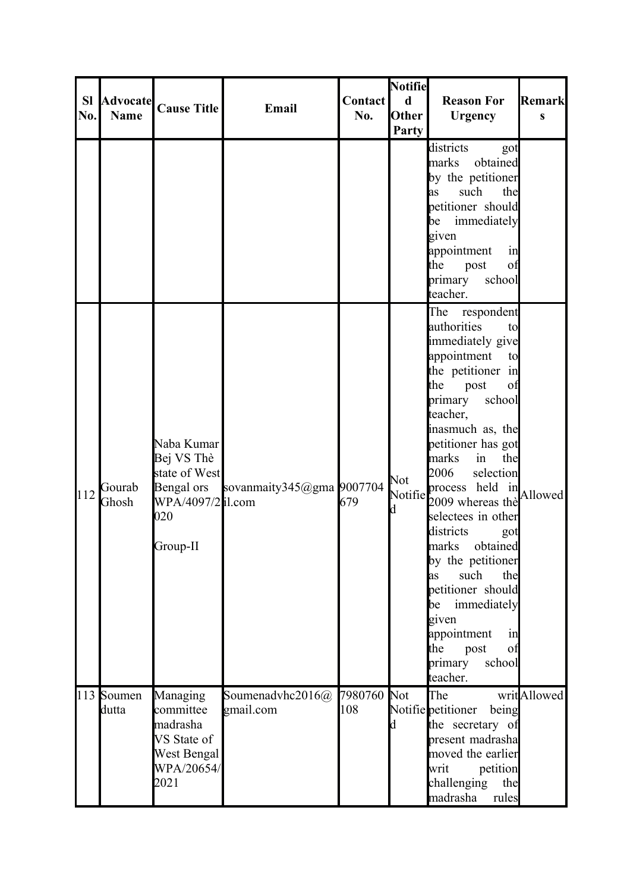| <b>SI</b><br>No. | <b>Name</b>         | Advocate Cause Title                                                                            | Email                         | <b>Contact</b><br>No. | <b>Notifie</b><br>$\mathbf d$<br>Other<br>Party | <b>Reason For</b><br><b>Urgency</b>                                                                                                                                                                                                                                                                                                                                                                                                                                                                                                   | Remark<br>$\mathbf{s}$ |
|------------------|---------------------|-------------------------------------------------------------------------------------------------|-------------------------------|-----------------------|-------------------------------------------------|---------------------------------------------------------------------------------------------------------------------------------------------------------------------------------------------------------------------------------------------------------------------------------------------------------------------------------------------------------------------------------------------------------------------------------------------------------------------------------------------------------------------------------------|------------------------|
|                  |                     |                                                                                                 |                               |                       |                                                 | districts<br>got<br>marks<br>obtained<br>by the petitioner<br>such<br>the<br>as<br>petitioner should<br>immediately<br>be<br>given<br>appointment<br>in<br>the<br>of<br>post<br>primary<br>school<br>teacher.                                                                                                                                                                                                                                                                                                                         |                        |
| 112              | Gourab<br>Ghosh     | Naba Kumar<br>Bej VS Thè<br>state of West<br>Bengal ors<br>WPA/4097/2 il.com<br>020<br>Group-II | sovanmaity345@gma 9007704     | 679                   | Not<br>Notifie<br>d                             | The<br>respondent<br>authorities<br>to<br>immediately give<br>appointment<br>to<br>the petitioner in<br>the<br>post<br>of<br>school<br>primary<br>teacher,<br>inasmuch as, the<br>petitioner has got<br>marks<br>in<br>the<br>2006<br>selection<br>process held in Allowed<br>2009 whereas thè<br>selectees in other<br>districts<br>got<br>obtained<br>marks<br>by the petitioner<br>such<br>the<br>as<br>petitioner should<br>immediately<br>be<br>given<br>appointment<br>in<br>the<br>post<br>of<br>primary<br>school<br>teacher. |                        |
|                  | 113 Soumen<br>dutta | Managing<br>committee<br>madrasha<br>VS State of<br>West Bengal<br>WPA/20654/<br>2021           | Soumenadvhc2016@<br>gmail.com | 7980760<br>108        | Not<br>d                                        | The<br>Notifie petitioner<br>being<br>the secretary of<br>present madrasha<br>moved the earlier<br>petition<br>writ<br>challenging<br>the<br>madrasha<br>rules                                                                                                                                                                                                                                                                                                                                                                        | writAllowed            |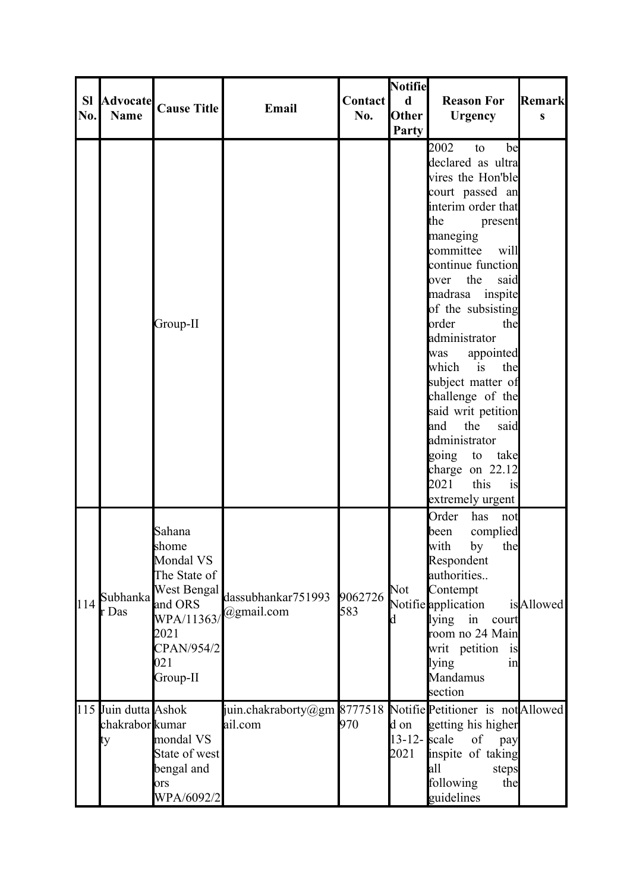|           |                         |                      |                                                             |                | <b>Notifie</b>  |                      |           |
|-----------|-------------------------|----------------------|-------------------------------------------------------------|----------------|-----------------|----------------------|-----------|
| <b>SI</b> |                         | Advocate Cause Title | Email                                                       | <b>Contact</b> | $\mathbf d$     | <b>Reason For</b>    | Remark    |
| No.       | <b>Name</b>             |                      |                                                             | No.            | Other           | <b>Urgency</b>       | $\bf{s}$  |
|           |                         |                      |                                                             |                | Party           |                      |           |
|           |                         |                      |                                                             |                |                 | 2002<br>be<br>to     |           |
|           |                         |                      |                                                             |                |                 | declared as ultra    |           |
|           |                         |                      |                                                             |                |                 | vires the Hon'ble    |           |
|           |                         |                      |                                                             |                |                 | court passed an      |           |
|           |                         |                      |                                                             |                |                 | interim order that   |           |
|           |                         |                      |                                                             |                |                 | the<br>present       |           |
|           |                         |                      |                                                             |                |                 | maneging             |           |
|           |                         |                      |                                                             |                |                 | committee<br>will    |           |
|           |                         |                      |                                                             |                |                 | continue function    |           |
|           |                         |                      |                                                             |                |                 | the<br>said<br>over  |           |
|           |                         |                      |                                                             |                |                 | madrasa inspite      |           |
|           |                         |                      |                                                             |                |                 | of the subsisting    |           |
|           |                         | Group-II             |                                                             |                |                 | order<br>the         |           |
|           |                         |                      |                                                             |                |                 | administrator        |           |
|           |                         |                      |                                                             |                |                 | appointed<br>was     |           |
|           |                         |                      |                                                             |                |                 | which is<br>the      |           |
|           |                         |                      |                                                             |                |                 | subject matter of    |           |
|           |                         |                      |                                                             |                |                 | challenge of the     |           |
|           |                         |                      |                                                             |                |                 | said writ petition   |           |
|           |                         |                      |                                                             |                |                 | the<br>said<br>and   |           |
|           |                         |                      |                                                             |                |                 | administrator        |           |
|           |                         |                      |                                                             |                |                 | going to<br>take     |           |
|           |                         |                      |                                                             |                |                 | charge on 22.12      |           |
|           |                         |                      |                                                             |                |                 | 2021<br>this<br>is   |           |
|           |                         |                      |                                                             |                |                 | extremely urgent     |           |
|           |                         |                      |                                                             |                |                 | Order<br>has<br>not  |           |
|           |                         | Sahana               |                                                             |                |                 | complied<br>been     |           |
|           |                         | shome                |                                                             |                |                 | with<br>by<br>the    |           |
|           |                         | Mondal VS            |                                                             |                |                 | Respondent           |           |
|           |                         | The State of         |                                                             |                |                 | authorities          |           |
|           | Subhanka                | West Bengal          | dassubhankar751993                                          | 9062726        | Not             | Contempt             |           |
| 114       | $\mathbf{r}$ Das        | and ORS              | @gmail.com                                                  | 583            |                 | Notifie application  | isAllowed |
|           |                         | WPA/11363/           |                                                             |                | d               | lying<br>in<br>court |           |
|           |                         | 2021                 |                                                             |                |                 | room no 24 Main      |           |
|           |                         | CPAN/954/2           |                                                             |                |                 | writ petition is     |           |
|           |                         | 021                  |                                                             |                |                 | lying<br>in          |           |
|           |                         | Group-II             |                                                             |                |                 | Mandamus             |           |
|           |                         |                      |                                                             |                |                 | section              |           |
|           | 115 Juin dutta Ashok    |                      | juin.chakraborty@gm 8777518 NotifiePetitioner is notAllowed |                |                 |                      |           |
|           | chakrabor <b>k</b> umar |                      | ail.com                                                     | 970            | d on            | getting his higher   |           |
|           | ty                      | mondal VS            |                                                             |                | $13-12$ - scale | of<br>pay            |           |
|           |                         | State of west        |                                                             |                | 2021            | inspite of taking    |           |
|           |                         | bengal and           |                                                             |                |                 | all<br>steps         |           |
|           |                         | ors                  |                                                             |                |                 | following<br>the     |           |
|           |                         | WPA/6092/2           |                                                             |                |                 | guidelines           |           |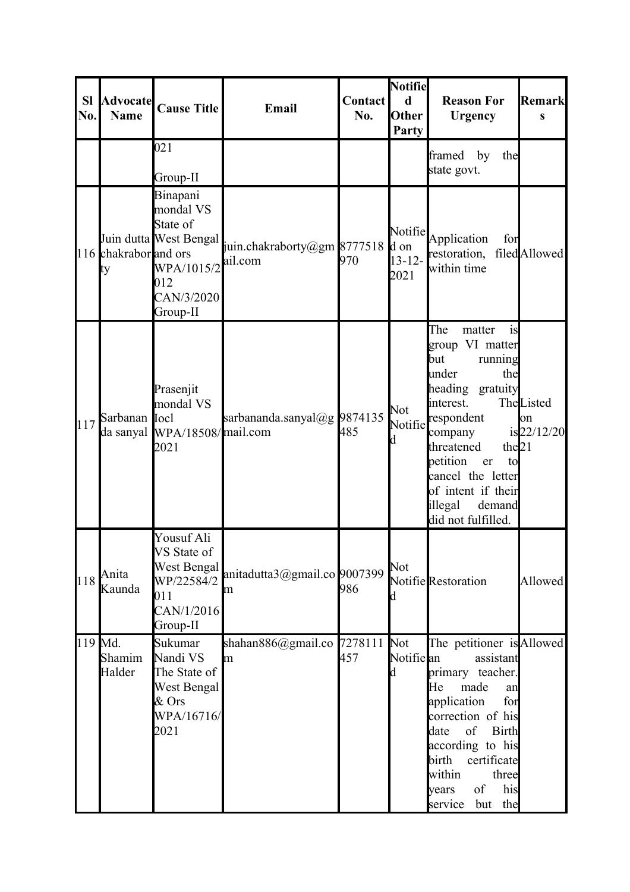| <b>SI</b><br>No. | <b>Advocate</b><br><b>Name</b> | <b>Cause Title</b>                                                                                         | <b>Email</b>                           | Contact<br>No. | <b>Notifie</b><br>$\mathbf d$<br>Other<br>Party | <b>Reason For</b><br><b>Urgency</b>                                                                                                                                                                                                                                        | Remark<br>S                                |
|------------------|--------------------------------|------------------------------------------------------------------------------------------------------------|----------------------------------------|----------------|-------------------------------------------------|----------------------------------------------------------------------------------------------------------------------------------------------------------------------------------------------------------------------------------------------------------------------------|--------------------------------------------|
|                  |                                | 021<br>Group-II                                                                                            |                                        |                |                                                 | framed<br>by<br>the<br>state govt.                                                                                                                                                                                                                                         |                                            |
|                  | 116 chakrabor and ors<br>ty    | Binapani<br>mondal VS<br>State of<br>Juin dutta West Bengal<br>WPA/1015/2<br>012<br>CAN/3/2020<br>Group-II | juin.chakraborty@gm 8777518<br>ail.com | 970            | Notifie<br>d on<br>$13 - 12 -$<br>2021          | Application<br>for<br>restoration, filed Allowed<br>within time                                                                                                                                                                                                            |                                            |
| 117              | Sarbanan Iocl                  | Prasenjit<br>mondal VS<br>da sanyal WPA/18508/mail.com<br>2021                                             | sarbananda.sanyal@g 9874135            | 485            | Not<br>Notifie<br>d                             | The<br>matter<br>is<br>group VI matter<br>but<br>running<br>under<br>the<br>heading gratuity<br>interest.<br>respondent<br>company<br>the $21$<br>threatened<br>petition<br>er<br>to<br>cancel the letter<br>of intent if their<br>illegal<br>demand<br>did not fulfilled. | TheListed<br>$\mathsf{lon}$<br>is 22/12/20 |
| 118              | Anita<br>Kaunda                | Yousuf Ali<br>VS State of<br>West Bengal<br>WP/22584/2<br>011<br>CAN/1/2016<br>Group-II                    | anitadutta3@gmail.co 9007399<br>lm     | 986            | Not<br>d                                        | Notifie Restoration                                                                                                                                                                                                                                                        | Allowed                                    |
| 119 Md.          | Shamim<br>Halder               | Sukumar<br>Nandi VS<br>The State of<br>West Bengal<br>$&$ Ors<br>WPA/16716/<br>2021                        | shahan $886$ @gmail.co 7278111<br>m    | 457            | Not<br>Notifie <b>l</b> an<br>d                 | The petitioner is Allowed<br>assistant<br>primary teacher.<br>made<br>He<br>an<br>application<br>for<br>correction of his<br>of<br><b>Birth</b><br>date<br>according to his<br>certificate<br>birth<br>within<br>three<br>of<br>his<br>years<br>service<br>the<br>but      |                                            |